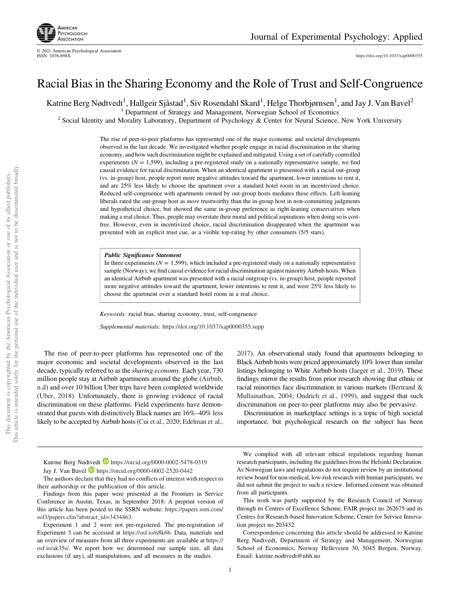

© 2021 American Psychological Association

# Racial Bias in the Sharing Economy and the Role of Trust and Self-Congruence

Katrine Berg Nødtvedt<sup>1</sup>, Hallgeir Sjåstad<sup>1</sup>, Siv Rosendahl Skard<sup>1</sup>, Helge Thorbjørnsen<sup>1</sup>, and Jay J. Van Bavel<sup>2</sup>

<sup>1</sup> Department of Strategy and Management, Norwegian School of Economics

<sup>2</sup> Social Identity and Morality Laboratory, Department of Psychology & Center for Neural Science, New York University

The rise of peer-to-peer platforms has represented one of the major economic and societal developments observed in the last decade. We investigated whether people engage in racial discrimination in the sharing economy, and how such discrimination might be explained and mitigated. Using a set of carefully controlled experiments  $(N = 1,599)$ , including a pre-registered study on a nationally representative sample, we find causal evidence for racial discrimination. When an identical apartment is presented with a racial out-group (vs. in-group) host, people report more negative attitudes toward the apartment, lower intentions to rent it, and are 25% less likely to choose the apartment over a standard hotel room in an incentivized choice. Reduced self-congruence with apartments owned by out-group hosts mediates these effects. Left-leaning liberals rated the out-group host as *more* trustworthy than the in-group host in non-committing judgments and hypothetical choice, but showed the same in-group preference as right-leaning conservatives when making a real choice. Thus, people may overstate their moral and political aspirations when doing so is costfree. However, even in incentivized choice, racial discrimination disappeared when the apartment was presented with an explicit trust cue, as a visible top-rating by other consumers (5/5 stars).

Public Significance Statement

In three experiments  $(N = 1,599)$ , which included a pre-registered study on a nationally representative sample (Norway), we find causal evidence for racial discrimination against minority Airbnb hosts. When an identical Airbnb apartment was presented with a racial outgroup (vs. in-group) host, people reported more negative attitudes toward the apartment, lower intentions to rent it, and were 25% less likely to choose the apartment over a standard hotel room in a real choice.

*Keywords:* racial bias, sharing economy, trust, self-congruence

*Supplemental materials:* https://doi.org/10.1037/xap0000355.supp

The rise of peer-to-peer platforms has represented one of the major economic and societal developments observed in the last decade, typically referred to as the *sharing economy*. Each year, 730 million people stay at Airbnb apartments around the globe (Airbnb, n.d) and over 10 billion Uber trips have been completed worldwide (Uber, 2018). Unfortunately, there is growing evidence of racial discrimination on these platforms. Field experiments have demonstrated that guests with distinctively Black names are 16%–40% less likely to be accepted by Airbnb hosts (Cui et al., 2020; Edelman et al.,

2017). An observational study found that apartments belonging to Black Airbnb hosts were priced approximately 10% lower than similar listings belonging to White Airbnb hosts (Jaeger et al., 2019). These findings mirror the results from prior research showing that ethnic or racial minorities face discrimination in various markets (Bertrand & Mullainathan, 2004; Ondrich et al., 1999), and suggest that such discrimination on peer-to-peer platforms may also be pervasive.

Discrimination in marketplace settings is a topic of high societal importance, but psychological research on the subject has been

Katrine Berg Nødtvedt **b** https://orcid.org/0000-0002-5478-0319 Jay J. Van Bavel **b** https://orcid.org/0000-0002-2520-0442

The authors declare that they had no conflicts of interest with respect to their authorship or the publication of this article.

Findings from this paper were presented at the Frontiers in Service Conference in Austin, Texas, in September 2018. A preprint version of this article has been posted to the SSRN website: https://papers.ssrn.com/ sol3/papers.cfm?abstract\_id=3434463.

Experiment 1 and 2 were not pre-registered. The pre-registration of Experiment 3 can be accessed at https://osf.io/n8k6b. Data, materials and an overview of measures from all three experiments are available at https:// osf.io/ak35s/. We report how we determined our sample size, all data exclusions (if any), all manipulations, and all measures in the studies.

1

We complied with all relevant ethical regulations regarding human research participants, including the guidelines from the Helsinki Declaration. As Norwegian laws and regulations do not require review by an institutional review board for non-medical, low-risk research with human participants, we did not submit the project to such a review. Informed consent was obtained from all participants.

This work was partly supported by the Research Council of Norway through its Centres of Excellence Scheme, FAIR project no 262675 and its Centres for Research-based Innovation Scheme, Center for Service Innovation project no 203432.

Correspondence concerning this article should be addressed to Katrine Berg Nødtvedt, Department of Strategy and Management, Norwegian School of Economics, Norway Helleveien 30, 5045 Bergen, Norway. Email: katrine.nodtvedt@nhh.no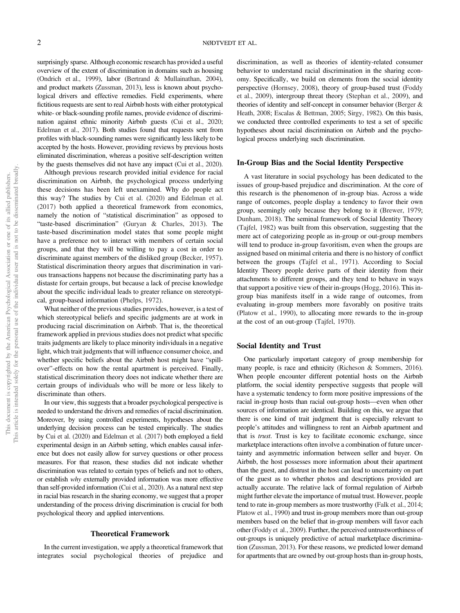surprisingly sparse. Although economic research has provided a useful overview of the extent of discrimination in domains such as housing (Ondrich et al., 1999), labor (Bertrand & Mullainathan, 2004), and product markets (Zussman, 2013), less is known about psychological drivers and effective remedies. Field experiments, where fictitious requests are sent to real Airbnb hosts with either prototypical white- or black-sounding profile names, provide evidence of discrimination against ethnic minority Airbnb guests (Cui et al., 2020; Edelman et al., 2017). Both studies found that requests sent from profiles with black-sounding names were significantly less likely to be accepted by the hosts. However, providing reviews by previous hosts eliminated discrimination, whereas a positive self-description written by the guests themselves did not have any impact (Cui et al., 2020).

Although previous research provided initial evidence for racial discrimination on Airbnb, the psychological process underlying these decisions has been left unexamined. Why do people act this way? The studies by Cui et al. (2020) and Edelman et al. (2017) both applied a theoretical framework from economics, namely the notion of "statistical discrimination" as opposed to "taste-based discrimination" (Guryan & Charles, 2013). The taste-based discrimination model states that some people might have a preference not to interact with members of certain social groups, and that they will be willing to pay a cost in order to discriminate against members of the disliked group (Becker, 1957). Statistical discrimination theory argues that discrimination in various transactions happens not because the discriminating party has a distaste for certain groups, but because a lack of precise knowledge about the specific individual leads to greater reliance on stereotypical, group-based information (Phelps, 1972).

What neither of the previous studies provides, however, is a test of which stereotypical beliefs and specific judgments are at work in producing racial discrimination on Airbnb. That is, the theoretical framework applied in previous studies does not predict what specific traits judgments are likely to place minority individuals in a negative light, which trait judgments that will influence consumer choice, and whether specific beliefs about the Airbnb host might have "spillover"-effects on how the rental apartment is perceived. Finally, statistical discrimination theory does not indicate whether there are certain groups of individuals who will be more or less likely to discriminate than others.

In our view, this suggests that a broader psychological perspective is needed to understand the drivers and remedies of racial discrimination. Moreover, by using controlled experiments, hypotheses about the underlying decision process can be tested empirically. The studies by Cui et al. (2020) and Edelman et al. (2017) both employed a field experimental design in an Airbnb setting, which enables causal inference but does not easily allow for survey questions or other process measures. For that reason, these studies did not indicate whether discrimination was related to certain types of beliefs and not to others, or establish *why* externally provided information was more effective than self-provided information (Cui et al., 2020). As a natural next step in racial bias research in the sharing economy, we suggest that a proper understanding of the process driving discrimination is crucial for both psychological theory and applied interventions.

#### Theoretical Framework

In the current investigation, we apply a theoretical framework that integrates social psychological theories of prejudice and discrimination, as well as theories of identity-related consumer behavior to understand racial discrimination in the sharing economy. Specifically, we build on elements from the social identity perspective (Hornsey, 2008), theory of group-based trust (Foddy et al., 2009), intergroup threat theory (Stephan et al., 2009), and theories of identity and self-concept in consumer behavior (Berger & Heath, 2008; Escalas & Bettman, 2005; Sirgy, 1982). On this basis, we conducted three controlled experiments to test a set of specific hypotheses about racial discrimination on Airbnb and the psychological process underlying such discrimination.

#### In-Group Bias and the Social Identity Perspective

A vast literature in social psychology has been dedicated to the issues of group-based prejudice and discrimination. At the core of this research is the phenomenon of in-group bias. Across a wide range of outcomes, people display a tendency to favor their own group, seemingly only because they belong to it (Brewer, 1979; Dunham, 2018). The seminal framework of Social Identity Theory (Tajfel, 1982) was built from this observation, suggesting that the mere act of categorizing people as in-group or out-group members will tend to produce in-group favoritism, even when the groups are assigned based on minimal criteria and there is no history of conflict between the groups (Tajfel et al., 1971). According to Social Identity Theory people derive parts of their identity from their attachments to different groups, and they tend to behave in ways that support a positive view of their in-groups (Hogg, 2016). This ingroup bias manifests itself in a wide range of outcomes, from evaluating in-group members more favorably on positive traits (Platow et al., 1990), to allocating more rewards to the in-group at the cost of an out-group (Tajfel, 1970).

# Social Identity and Trust

One particularly important category of group membership for many people, is race and ethnicity (Richeson & Sommers, 2016). When people encounter different potential hosts on the Airbnb platform, the social identity perspective suggests that people will have a systematic tendency to form more positive impressions of the racial in-group hosts than racial out-group hosts—even when other sources of information are identical. Building on this, we argue that there is one kind of trait judgment that is especially relevant to people's attitudes and willingness to rent an Airbnb apartment and that is *trust*. Trust is key to facilitate economic exchange, since marketplace interactions often involve a combination of future uncertainty and asymmetric information between seller and buyer. On Airbnb, the host possesses more information about their apartment than the guest, and distrust in the host can lead to uncertainty on part of the guest as to whether photos and descriptions provided are actually accurate. The relative lack of formal regulation of Airbnb might further elevate the importance of mutual trust. However, people tend to rate in-group members as more trustworthy (Falk et al., 2014; Platow et al., 1990) and trust in-group members more than out-group members based on the belief that in-group members will favor each other (Foddy et al., 2009). Further, the perceived untrustworthiness of out-groups is uniquely predictive of actual marketplace discrimination (Zussman, 2013). For these reasons, we predicted lower demand for apartments that are owned by out-group hosts than in-group hosts,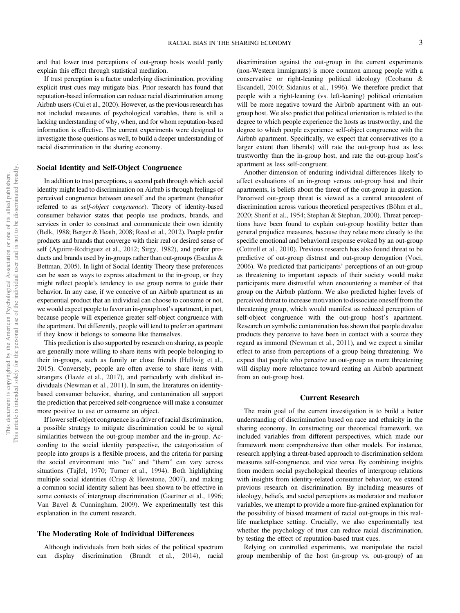and that lower trust perceptions of out-group hosts would partly explain this effect through statistical mediation.

If trust perception is a factor underlying discrimination, providing explicit trust cues may mitigate bias. Prior research has found that reputation-based information can reduce racial discrimination among Airbnb users (Cui et al., 2020). However, as the previous research has not included measures of psychological variables, there is still a lacking understanding of why, when, and for whom reputation-based information is effective. The current experiments were designed to investigate those questions as well, to build a deeper understanding of racial discrimination in the sharing economy.

# Social Identity and Self-Object Congruence

In addition to trust perceptions, a second path through which social identity might lead to discrimination on Airbnb is through feelings of perceived congruence between oneself and the apartment (hereafter referred to as *self-object congruence*). Theory of identity-based consumer behavior states that people use products, brands, and services in order to construct and communicate their own identity (Belk, 1988; Berger & Heath, 2008; Reed et al., 2012). People prefer products and brands that converge with their real or desired sense of self (Aguirre-Rodriguez et al., 2012; Sirgy, 1982), and prefer products and brands used by in-groups rather than out-groups (Escalas & Bettman, 2005). In light of Social Identity Theory these preferences can be seen as ways to express attachment to the in-group, or they might reflect people's tendency to use group norms to guide their behavior. In any case, if we conceive of an Airbnb apartment as an experiential product that an individual can choose to consume or not, we would expect people to favor an in-group host's apartment, in part, because people will experience greater self-object congruence with the apartment. Put differently, people will tend to prefer an apartment if they know it belongs to someone like themselves.

This prediction is also supported by research on sharing, as people are generally more willing to share items with people belonging to their in-groups, such as family or close friends (Hellwig et al., 2015). Conversely, people are often averse to share items with strangers (Hazée et al., 2017), and particularly with disliked individuals (Newman et al., 2011). In sum, the literatures on identitybased consumer behavior, sharing, and contamination all support the prediction that perceived self-congruence will make a consumer more positive to use or consume an object.

If lower self-object congruence is a driver of racial discrimination, a possible strategy to mitigate discrimination could be to signal similarities between the out-group member and the in-group. According to the social identity perspective, the categorization of people into groups is a flexible process, and the criteria for parsing the social environment into "us" and "them" can vary across situations (Tajfel, 1970; Turner et al., 1994). Both highlighting multiple social identities (Crisp & Hewstone, 2007), and making a common social identity salient has been shown to be effective in some contexts of intergroup discrimination (Gaertner et al., 1996; Van Bavel & Cunningham, 2009). We experimentally test this explanation in the current research.

## The Moderating Role of Individual Differences

Although individuals from both sides of the political spectrum can display discrimination (Brandt et al., 2014), racial discrimination against the out-group in the current experiments (non-Western immigrants) is more common among people with a conservative or right-leaning political ideology (Ceobanu & Escandell, 2010; Sidanius et al., 1996). We therefore predict that people with a right-leaning (vs. left-leaning) political orientation will be more negative toward the Airbnb apartment with an outgroup host. We also predict that political orientation is related to the degree to which people experience the hosts as trustworthy, and the degree to which people experience self-object congruence with the Airbnb apartment. Specifically, we expect that conservatives (to a larger extent than liberals) will rate the out-group host as less trustworthy than the in-group host, and rate the out-group host's apartment as less self-congruent.

Another dimension of enduring individual differences likely to affect evaluations of an in-group versus out-group host and their apartments, is beliefs about the threat of the out-group in question. Perceived out-group threat is viewed as a central antecedent of discrimination across various theoretical perspectives (Böhm et al., 2020; Sherif et al., 1954; Stephan & Stephan, 2000). Threat perceptions have been found to explain out-group hostility better than general prejudice measures, because they relate more closely to the specific emotional and behavioral response evoked by an out-group (Cottrell et al., 2010). Previous research has also found threat to be predictive of out-group distrust and out-group derogation (Voci, 2006). We predicted that participants' perceptions of an out-group as threatening to important aspects of their society would make participants more distrustful when encountering a member of that group on the Airbnb platform. We also predicted higher levels of perceived threat to increase motivation to dissociate oneself from the threatening group, which would manifest as reduced perception of self-object congruence with the out-group host's apartment. Research on symbolic contamination has shown that people devalue products they perceive to have been in contact with a source they regard as immoral (Newman et al., 2011), and we expect a similar effect to arise from perceptions of a group being threatening. We expect that people who perceive an out-group as more threatening will display more reluctance toward renting an Airbnb apartment from an out-group host.

## Current Research

The main goal of the current investigation is to build a better understanding of discrimination based on race and ethnicity in the sharing economy. In constructing our theoretical framework, we included variables from different perspectives, which made our framework more comprehensive than other models. For instance, research applying a threat-based approach to discrimination seldom measures self-congruence, and vice versa. By combining insights from modern social psychological theories of intergroup relations with insights from identity-related consumer behavior, we extend previous research on discrimination. By including measures of ideology, beliefs, and social perceptions as moderator and mediator variables, we attempt to provide a more fine-grained explanation for the possibility of biased treatment of racial out-groups in this reallife marketplace setting. Crucially, we also experimentally test whether the psychology of trust can reduce racial discrimination, by testing the effect of reputation-based trust cues.

Relying on controlled experiments, we manipulate the racial group membership of the host (in-group vs. out-group) of an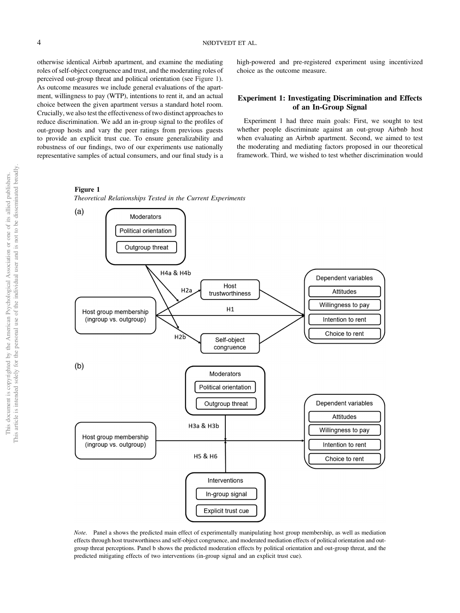otherwise identical Airbnb apartment, and examine the mediating roles of self-object congruence and trust, and the moderating roles of perceived out-group threat and political orientation (see Figure 1). As outcome measures we include general evaluations of the apartment, willingness to pay (WTP), intentions to rent it, and an actual choice between the given apartment versus a standard hotel room. Crucially, we also test the effectiveness of two distinct approaches to reduce discrimination. We add an in-group signal to the profiles of out-group hosts and vary the peer ratings from previous guests to provide an explicit trust cue. To ensure generalizability and robustness of our findings, two of our experiments use nationally representative samples of actual consumers, and our final study is a high-powered and pre-registered experiment using incentivized choice as the outcome measure.

# Experiment 1: Investigating Discrimination and Effects of an In-Group Signal

Experiment 1 had three main goals: First, we sought to test whether people discriminate against an out-group Airbnb host when evaluating an Airbnb apartment. Second, we aimed to test the moderating and mediating factors proposed in our theoretical framework. Third, we wished to test whether discrimination would

# Figure 1

*Theoretical Relationships Tested in the Current Experiments*



*Note*. Panel a shows the predicted main effect of experimentally manipulating host group membership, as well as mediation effects through host trustworthiness and self-object congruence, and moderated mediation effects of political orientation and outgroup threat perceptions. Panel b shows the predicted moderation effects by political orientation and out-group threat, and the predicted mitigating effects of two interventions (in-group signal and an explicit trust cue).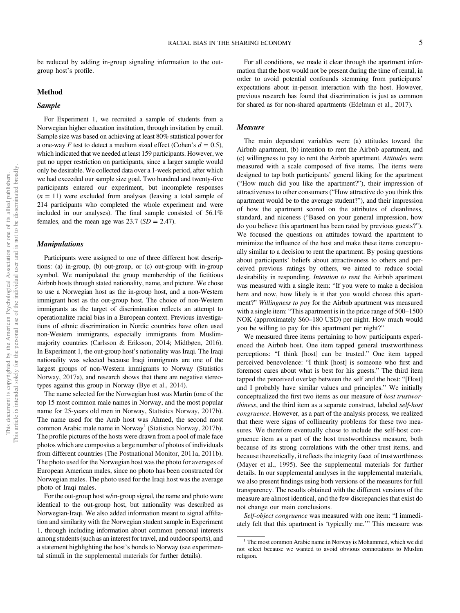be reduced by adding in-group signaling information to the outgroup host's profile.

## Method

## Sample

For Experiment 1, we recruited a sample of students from a Norwegian higher education institution, through invitation by email. Sample size was based on achieving at least 80% statistical power for a one-way *F* test to detect a medium sized effect (Cohen's  $d = 0.5$ ), which indicated that we needed at least 159 participants. However, we put no upper restriction on participants, since a larger sample would only be desirable. We collected data over a 1-week period, after which we had exceeded our sample size goal. Two hundred and twenty-five participants entered our experiment, but incomplete responses  $(n = 11)$  were excluded from analyses (leaving a total sample of 214 participants who completed the whole experiment and were included in our analyses). The final sample consisted of 56.1% females, and the mean age was  $23.7$  ( $SD = 2.47$ ).

## Manipulations

Participants were assigned to one of three different host descriptions: (a) in-group, (b) out-group, or (c) out-group with in-group symbol. We manipulated the group membership of the fictitious Airbnb hosts through stated nationality, name, and picture. We chose to use a Norwegian host as the in-group host, and a non-Western immigrant host as the out-group host. The choice of non-Western immigrants as the target of discrimination reflects an attempt to operationalize racial bias in a European context. Previous investigations of ethnic discrimination in Nordic countries have often used non-Western immigrants, especially immigrants from Muslimmajority countries (Carlsson & Eriksson, 2014; Midtbøen, 2016). In Experiment 1, the out-group host's nationality was Iraqi. The Iraqi nationality was selected because Iraqi immigrants are one of the largest groups of non-Western immigrants to Norway (Statistics Norway, 2017a), and research shows that there are negative stereotypes against this group in Norway (Bye et al., 2014).

The name selected for the Norwegian host was Martin (one of the top 15 most common male names in Norway, and the most popular name for 25-years old men in Norway, Statistics Norway, 2017b). The name used for the Arab host was Ahmed, the second most common Arabic male name in Norway<sup>1</sup> (Statistics Norway, 2017b). The profile pictures of the hosts were drawn from a pool of male face photos which are composites a large number of photos of individuals from different countries (The Postnational Monitor, 2011a, 2011b). The photo used for the Norwegian host was the photo for averages of European American males, since no photo has been constructed for Norwegian males. The photo used for the Iraqi host was the average photo of Iraqi males.

For the out-group host w/in-group signal, the name and photo were identical to the out-group host, but nationality was described as Norwegian-Iraqi. We also added information meant to signal affiliation and similarity with the Norwegian student sample in Experiment 1, through including information about common personal interests among students (such as an interest for travel, and outdoor sports), and a statement highlighting the host's bonds to Norway (see experimental stimuli in the supplemental materials for further details).

For all conditions, we made it clear through the apartment information that the host would not be present during the time of rental, in order to avoid potential confounds stemming from participants' expectations about in-person interaction with the host. However, previous research has found that discrimination is just as common for shared as for non-shared apartments (Edelman et al., 2017).

# Measure

The main dependent variables were (a) attitudes toward the Airbnb apartment, (b) intention to rent the Airbnb apartment, and (c) willingness to pay to rent the Airbnb apartment. *Attitudes* were measured with a scale composed of five items. The items were designed to tap both participants' general liking for the apartment ("How much did you like the apartment?"), their impression of attractiveness to other consumers ("How attractive do you think this apartment would be to the average student?"), and their impression of how the apartment scored on the attributes of cleanliness, standard, and niceness ("Based on your general impression, how do you believe this apartment has been rated by previous guests?"). We focused the questions on attitudes toward the apartment to minimize the influence of the host and make these items conceptually similar to a decision to rent the apartment. By posing questions about participants' beliefs about attractiveness to others and perceived previous ratings by others, we aimed to reduce social desirability in responding. *Intention to rent* the Airbnb apartment was measured with a single item: "If you were to make a decision here and now, how likely is it that you would choose this apartment?" *Willingness to pay* for the Airbnb apartment was measured with a single item: "This apartment is in the price range of 500–1500 NOK (approximately \$60–180 USD) per night. How much would you be willing to pay for this apartment per night?"

We measured three items pertaining to how participants experienced the Airbnb host. One item tapped general trustworthiness perceptions: "I think [host] can be trusted." One item tapped perceived benevolence: "I think [host] is someone who first and foremost cares about what is best for his guests." The third item tapped the perceived overlap between the self and the host: "[Host] and I probably have similar values and principles." We initially conceptualized the first two items as our measure of *host trustworthiness*, and the third item as a separate construct, labeled *self-host congruence*. However, as a part of the analysis process, we realized that there were signs of collinearity problems for these two measures. We therefore eventually chose to include the self-host congruence item as a part of the host trustworthiness measure, both because of its strong correlations with the other trust items, and because theoretically, it reflects the integrity facet of trustworthiness (Mayer et al., 1995). See the supplemental materials for further details. In our supplemental analyses in the supplemental materials, we also present findings using both versions of the measures for full transparency. The results obtained with the different versions of the measure are almost identical, and the few discrepancies that exist do not change our main conclusions.

*Self-object congruence* was measured with one item: "I immediately felt that this apartment is 'typically me.'" This measure was

<sup>&</sup>lt;sup>1</sup> The most common Arabic name in Norway is Mohammed, which we did not select because we wanted to avoid obvious connotations to Muslim religion.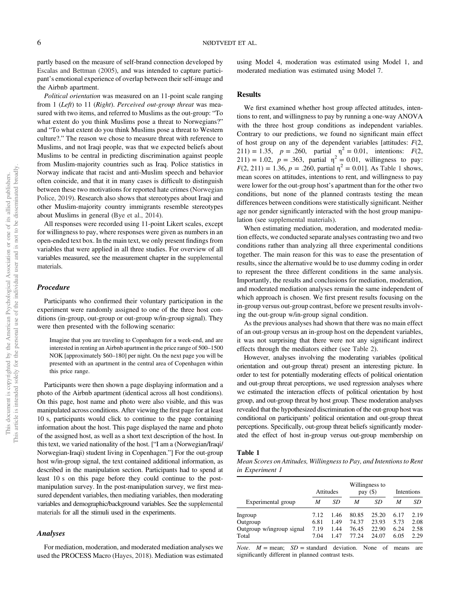partly based on the measure of self-brand connection developed by Escalas and Bettman (2005), and was intended to capture participant's emotional experience of overlap between their self-image and the Airbnb apartment.

*Political orientation* was measured on an 11-point scale ranging from 1 (*Left*) to 11 (*Right*). *Perceived out-group threat* was measured with two items, and referred to Muslims as the out-group: "To what extent do you think Muslims pose a threat to Norwegians?" and "To what extent do you think Muslims pose a threat to Western culture?." The reason we chose to measure threat with reference to Muslims, and not Iraqi people, was that we expected beliefs about Muslims to be central in predicting discrimination against people from Muslim-majority countries such as Iraq. Police statistics in Norway indicate that racist and anti-Muslim speech and behavior often coincide, and that it in many cases is difficult to distinguish between these two motivations for reported hate crimes (Norwegian Police, 2019). Research also shows that stereotypes about Iraqi and other Muslim-majority country immigrants resemble stereotypes about Muslims in general (Bye et al., 2014).

All responses were recorded using 11-point Likert scales, except for willingness to pay, where responses were given as numbers in an open-ended text box. In the main text, we only present findings from variables that were applied in all three studies. For overview of all variables measured, see the measurement chapter in the supplemental materials.

#### Procedure

Participants who confirmed their voluntary participation in the experiment were randomly assigned to one of the three host conditions (in-group, out-group or out-group w/in-group signal). They were then presented with the following scenario:

Imagine that you are traveling to Copenhagen for a week-end, and are interested in renting an Airbnb apartment in the price range of 500–1500 NOK [approximately \$60–180] per night. On the next page you will be presented with an apartment in the central area of Copenhagen within this price range.

Participants were then shown a page displaying information and a photo of the Airbnb apartment (identical across all host conditions). On this page, host name and photo were also visible, and this was manipulated across conditions. After viewing the first page for at least 10 s, participants would click to continue to the page containing information about the host. This page displayed the name and photo of the assigned host, as well as a short text description of the host. In this text, we varied nationality of the host. ["I am a (Norwegian/Iraqi/ Norwegian-Iraqi) student living in Copenhagen."] For the out-group host w/in-group signal, the text contained additional information, as described in the manipulation section. Participants had to spend at least 10 s on this page before they could continue to the postmanipulation survey. In the post-manipulation survey, we first measured dependent variables, then mediating variables, then moderating variables and demographic/background variables. See the supplemental materials for all the stimuli used in the experiments.

#### Analyses

For mediation, moderation, and moderated mediation analyses we used the PROCESS Macro (Hayes, 2018). Mediation was estimated using Model 4, moderation was estimated using Model 1, and moderated mediation was estimated using Model 7.

# **Results**

We first examined whether host group affected attitudes, intentions to rent, and willingness to pay by running a one-way ANOVA with the three host group conditions as independent variables. Contrary to our predictions, we found no significant main effect of host group on any of the dependent variables [attitudes: *F*(2, 211) = 1.35,  $p = .260$ , partial  $\eta^2 = 0.01$ , intentions: *F*(2,  $211$ ) = 1.02,  $p = .363$ , partial  $\eta^2 = 0.01$ , willingness to pay:  $F(2, 211) = 1.36, p = .260$ , partial  $\eta^2 = 0.01$ . As Table 1 shows, mean scores on attitudes, intentions to rent, and willingness to pay were lower for the out-group host's apartment than for the other two conditions, but none of the planned contrasts testing the mean differences between conditions were statistically significant. Neither age nor gender significantly interacted with the host group manipulation (see supplemental materials).

When estimating mediation, moderation, and moderated mediation effects, we conducted separate analyses contrasting two and two conditions rather than analyzing all three experimental conditions together. The main reason for this was to ease the presentation of results, since the alternative would be to use dummy coding in order to represent the three different conditions in the same analysis. Importantly, the results and conclusions for mediation, moderation, and moderated mediation analyses remain the same independent of which approach is chosen. We first present results focusing on the in-group versus out-group contrast, before we present results involving the out-group w/in-group signal condition.

As the previous analyses had shown that there was no main effect of an out-group versus an in-group host on the dependent variables, it was not surprising that there were not any significant indirect effects through the mediators either (see Table 2).

However, analyses involving the moderating variables (political orientation and out-group threat) present an interesting picture. In order to test for potentially moderating effects of political orientation and out-group threat perceptions, we used regression analyses where we estimated the interaction effects of political orientation by host group, and out-group threat by host group. These moderation analyses revealed that the hypothesized discrimination of the out-group host was conditional on participants' political orientation and out-group threat perceptions. Specifically, out-group threat beliefs significantly moderated the effect of host in-group versus out-group membership on

#### Table 1

*Mean Scores on Attitudes, Willingness to Pay, and Intentions to Rent in Experiment 1*

|                                                           |                              | Attitudes                    |                                  | Willingness to<br>pay $(\$)$     |                              | Intentions                   |
|-----------------------------------------------------------|------------------------------|------------------------------|----------------------------------|----------------------------------|------------------------------|------------------------------|
| Experimental group                                        | M                            | SD                           | M                                | SD                               | M                            | SD                           |
| Ingroup<br>Outgroup<br>Outgroup w/ingroup signal<br>Total | 7.12<br>6.81<br>7.19<br>7.04 | 1.46<br>1.49<br>1.44<br>1.47 | 80.85<br>74.37<br>76.45<br>77.24 | 25.20<br>23.93<br>22.90<br>24.07 | 6.17<br>5.73<br>6.24<br>6.05 | 2.19<br>2.08<br>2.58<br>2.29 |

*Note.*  $M = \text{mean}$ ;  $SD = \text{standard deviation}$ . None of means are significantly different in planned contrast tests.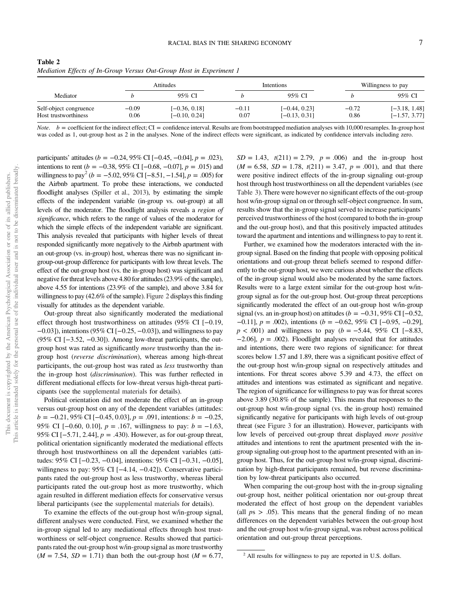| Table 2                                                             |  |  |  |
|---------------------------------------------------------------------|--|--|--|
| Mediation Effects of In-Group Versus Out-Group Host in Experiment 1 |  |  |  |

|                                                |                 | <b>Attitudes</b>                   |                 | <i><u>Intentions</u></i>           |                 | Willingness to pay                 |  |
|------------------------------------------------|-----------------|------------------------------------|-----------------|------------------------------------|-----------------|------------------------------------|--|
| Mediator                                       |                 | 95% CI                             |                 | 95% CI                             |                 | 95% CI                             |  |
| Self-object congruence<br>Host trustworthiness | $-0.09$<br>0.06 | $[-0.36, 0.18]$<br>$[-0.10, 0.24]$ | $-0.11$<br>0.07 | $[-0.44, 0.23]$<br>$[-0.13, 0.31]$ | $-0.72$<br>0.86 | $[-3.18, 1.48]$<br>$[-1.57, 3.77]$ |  |

*Note.*  $b =$  coefficient for the indirect effect; CI = confidence interval. Results are from bootstrapped mediation analyses with 10,000 resamples. In-group host was coded as 1, out-group host as 2 in the analyses. None of the indirect effects were significant, as indicated by confidence intervals including zero.

participants' attitudes (*b* = −0.24, 95% CI [−0.45, −0.04], *p* = .023), intentions to rent ( $b = -0.38$ , 95% CI [−0.68, −0.07],  $p = .015$ ) and willingness to pay<sup>2</sup> ( $b = -5.02$ , 95% CI [-8.51, -1.54],  $p = .005$ ) for the Airbnb apartment. To probe these interactions, we conducted floodlight analyses (Spiller et al., 2013), by estimating the simple effects of the independent variable (in-group vs. out-group) at all levels of the moderator. The floodlight analysis reveals a *region of signi*fi*cance*, which refers to the range of values of the moderator for which the simple effects of the independent variable are significant. This analysis revealed that participants with higher levels of threat responded significantly more negatively to the Airbnb apartment with an out-group (vs. in-group) host, whereas there was no significant ingroup-out-group difference for participants with low threat levels. The effect of the out-group host (vs. the in-group host) was significant and negative for threat levels above 4.80 for attitudes (23.9% of the sample), above 4.55 for intentions (23.9% of the sample), and above 3.84 for willingness to pay (42.6% of the sample). Figure 2 displays this finding visually for attitudes as the dependent variable.

Out-group threat also significantly moderated the mediational effect through host trustworthiness on attitudes (95% CI [−0.19, −0.03]), intentions (95% CI [−0.25, −0.03]), and willingness to pay (95% CI [−3.52, −0.30]). Among low-threat participants, the outgroup host was rated as significantly *more* trustworthy than the ingroup host (*reverse discrimination*), whereas among high-threat participants, the out-group host was rated as *less* trustworthy than the in-group host (*discrimination*). This was further reflected in different mediational effects for low-threat versus high-threat participants (see the supplemental materials for details).

Political orientation did not moderate the effect of an in-group versus out-group host on any of the dependent variables (attitudes: *b* = −0.21, 95% CI [−0.45, 0.03], *p* = .091, intentions: *b* = −0.25, 95% CI [−0.60, 0.10], *p* = .167, willingness to pay: *b* = −1.63, 95% CI [−5.71, 2.44], *p* = .430). However, as for out-group threat, political orientation significantly moderated the mediational effects through host trustworthiness on all the dependent variables (attitudes: 95% CI [−0.23, −0.04], intentions: 95% CI [−0.31, −0.05], willingness to pay: 95% CI [−4.14, −0.42]). Conservative participants rated the out-group host as less trustworthy, whereas liberal participants rated the out-group host as more trustworthy, which again resulted in different mediation effects for conservative versus liberal participants (see the supplemental materials for details).

To examine the effects of the out-group host w/in-group signal, different analyses were conducted. First, we examined whether the in-group signal led to any mediational effects through host trustworthiness or self-object congruence. Results showed that participants rated the out-group host w/in-group signal as more trustworthy  $(M = 7.54, SD = 1.71)$  than both the out-group host  $(M = 6.77,$ 

 $SD = 1.43$ ,  $t(211) = 2.79$ ,  $p = .006$ ) and the in-group host  $(M = 6.58, SD = 1.78, t(211) = 3.47, p = .001$ , and that there were positive indirect effects of the in-group signaling out-group host through host trustworthiness on all the dependent variables (see Table 3). There were however no significant effects of the out-group host w/in-group signal on or through self-object congruence. In sum, results show that the in-group signal served to increase participants' perceived trustworthiness of the host (compared to both the in-group and the out-group host), and that this positively impacted attitudes toward the apartment and intentions and willingness to pay to rent it.

Further, we examined how the moderators interacted with the ingroup signal. Based on the finding that people with opposing political orientations and out-group threat beliefs seemed to respond differently to the out-group host, we were curious about whether the effects of the in-group signal would also be moderated by the same factors. Results were to a large extent similar for the out-group host w/ingroup signal as for the out-group host. Out-group threat perceptions significantly moderated the effect of an out-group host w/in-group signal (vs. an in-group host) on attitudes ( $b = -0.31,95\%$  CI [ $-0.52$ , −0.11], *p* = .002), intentions (*b* = −0.62, 95% CI [−0.95, −0.29], *p* < .001) and willingness to pay (*b* = −5.44, 95% CI [−8.83, −2.06], *p* = .002). Floodlight analyses revealed that for attitudes and intentions, there were two regions of significance: for threat scores below 1.57 and 1.89, there was a significant positive effect of the out-group host w/in-group signal on respectively attitudes and intentions. For threat scores above 5.39 and 4.73, the effect on attitudes and intentions was estimated as significant and negative. The region of significance for willingness to pay was for threat scores above 3.89 (30.8% of the sample). This means that responses to the out-group host w/in-group signal (vs. the in-group host) remained significantly negative for participants with high levels of out-group threat (see Figure 3 for an illustration). However, participants with low levels of perceived out-group threat displayed *more positive* attitudes and intentions to rent the apartment presented with the ingroup signaling out-group host to the apartment presented with an ingroup host. Thus, for the out-group host w/in-group signal, discrimination by high-threat participants remained, but reverse discrimination by low-threat participants also occurred.

When comparing the out-group host with the in-group signaling out-group host, neither political orientation nor out-group threat moderated the effect of host group on the dependent variables (all  $ps > .05$ ). This means that the general finding of no mean differences on the dependent variables between the out-group host and the out-group host w/in-group signal, was robust across political orientation and out-group threat perceptions.

<sup>&</sup>lt;sup>2</sup> All results for willingness to pay are reported in U.S. dollars.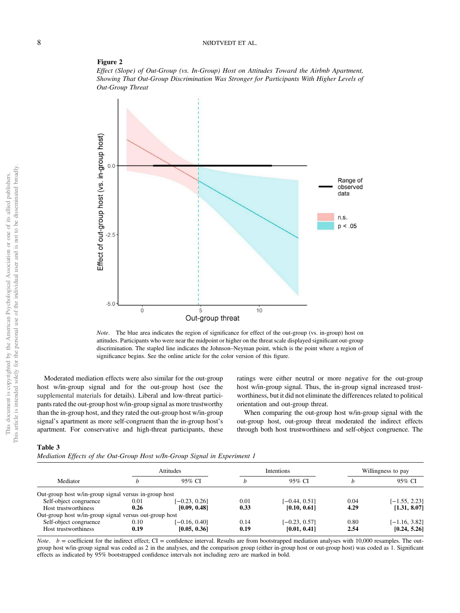



*Note*. The blue area indicates the region of significance for effect of the out-group (vs. in-group) host on attitudes. Participants who were near the midpoint or higher on the threat scale displayed significant out-group discrimination. The stapled line indicates the Johnson–Neyman point, which is the point where a region of significance begins. See the online article for the color version of this figure.

Moderated mediation effects were also similar for the out-group host w/in-group signal and for the out-group host (see the supplemental materials for details). Liberal and low-threat participants rated the out-group host w/in-group signal as more trustworthy than the in-group host, and they rated the out-group host w/in-group signal's apartment as more self-congruent than the in-group host's apartment. For conservative and high-threat participants, these ratings were either neutral or more negative for the out-group host w/in-group signal. Thus, the in-group signal increased trustworthiness, but it did not eliminate the differences related to political orientation and out-group threat.

When comparing the out-group host w/in-group signal with the out-group host, out-group threat moderated the indirect effects through both host trustworthiness and self-object congruence. The

# Table 3

|  |  | Mediation Effects of the Out-Group Host w/In-Group Signal in Experiment 1 |
|--|--|---------------------------------------------------------------------------|
|  |  |                                                                           |

|                                                        |          | Attitudes       |      | Intentions      | Willingness to pay |                 |
|--------------------------------------------------------|----------|-----------------|------|-----------------|--------------------|-----------------|
| Mediator                                               |          | 95% CI          | h    | 95% CI          |                    | 95% CI          |
| Out-group host w/in-group signal versus in-group host  |          |                 |      |                 |                    |                 |
| Self-object congruence                                 | $0.01\,$ | $[-0.23, 0.26]$ | 0.01 | $[-0.44, 0.51]$ | 0.04               | $[-1.55, 2.23]$ |
| Host trustworthiness                                   | 0.26     | [0.09, 0.48]    | 0.33 | [0.10, 0.61]    | 4.29               | [1.31, 8.07]    |
| Out-group host w/in-group signal versus out-group host |          |                 |      |                 |                    |                 |
| Self-object congruence                                 | 0.10     | $[-0.16, 0.40]$ | 0.14 | $[-0.23, 0.57]$ | 0.80               | $[-1.16, 3.82]$ |
| Host trustworthiness                                   | 0.19     | [0.05, 0.36]    | 0.19 | [0.01, 0.41]    | 2.54               | [0.24, 5.26]    |

*Note.*  $b =$  coefficient for the indirect effect; CI = confidence interval. Results are from bootstrapped mediation analyses with 10,000 resamples. The outgroup host w/in-group signal was coded as 2 in the analyses, and the comparison group (either in-group host or out-group host) was coded as 1. Significant effects as indicated by 95% bootstrapped confidence intervals not including zero are marked in bold.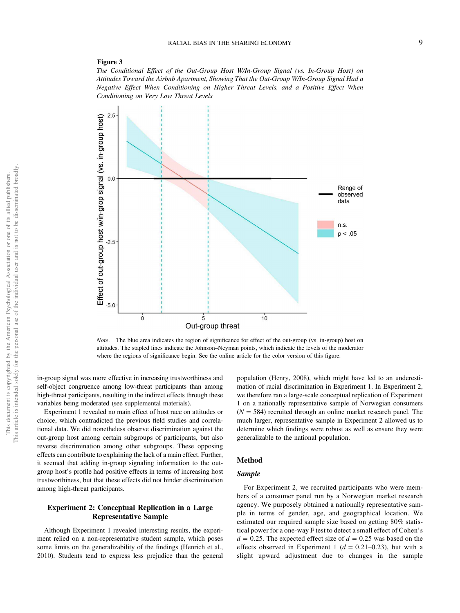## Figure 3

*The Conditional Effect of the Out-Group Host W/In-Group Signal (vs. In-Group Host) on Attitudes Toward the Airbnb Apartment, Showing That the Out-Group W/In-Group Signal Had a Negative Effect When Conditioning on Higher Threat Levels, and a Positive Effect When Conditioning on Very Low Threat Levels*



*Note*. The blue area indicates the region of significance for effect of the out-group (vs. in-group) host on attitudes. The stapled lines indicate the Johnson–Neyman points, which indicate the levels of the moderator where the regions of significance begin. See the online article for the color version of this figure.

in-group signal was more effective in increasing trustworthiness and self-object congruence among low-threat participants than among high-threat participants, resulting in the indirect effects through these variables being moderated (see supplemental materials).

Experiment 1 revealed no main effect of host race on attitudes or choice, which contradicted the previous field studies and correlational data. We did nonetheless observe discrimination against the out-group host among certain subgroups of participants, but also reverse discrimination among other subgroups. These opposing effects can contribute to explaining the lack of a main effect. Further, it seemed that adding in-group signaling information to the outgroup host's profile had positive effects in terms of increasing host trustworthiness, but that these effects did not hinder discrimination among high-threat participants.

# Experiment 2: Conceptual Replication in a Large Representative Sample

Although Experiment 1 revealed interesting results, the experiment relied on a non-representative student sample, which poses some limits on the generalizability of the findings (Henrich et al., 2010). Students tend to express less prejudice than the general population (Henry, 2008), which might have led to an underestimation of racial discrimination in Experiment 1. In Experiment 2, we therefore ran a large-scale conceptual replication of Experiment 1 on a nationally representative sample of Norwegian consumers  $(N = 584)$  recruited through an online market research panel. The much larger, representative sample in Experiment 2 allowed us to determine which findings were robust as well as ensure they were generalizable to the national population.

# Method

#### Sample

For Experiment 2, we recruited participants who were members of a consumer panel run by a Norwegian market research agency. We purposely obtained a nationally representative sample in terms of gender, age, and geographical location. We estimated our required sample size based on getting 80% statistical power for a one-way F test to detect a small effect of Cohen's  $d = 0.25$ . The expected effect size of  $d = 0.25$  was based on the effects observed in Experiment 1 ( $d = 0.21 - 0.23$ ), but with a slight upward adjustment due to changes in the sample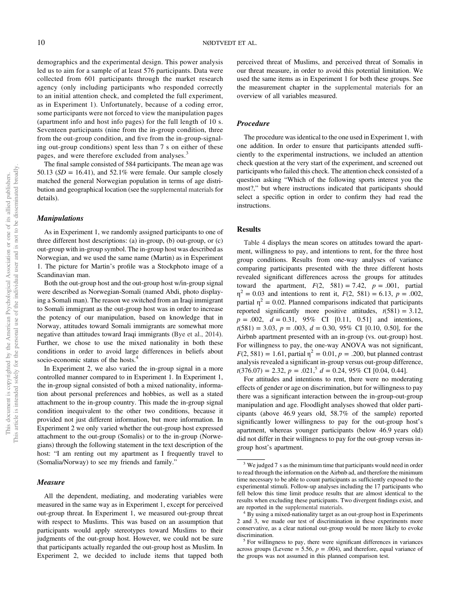demographics and the experimental design. This power analysis led us to aim for a sample of at least 576 participants. Data were collected from 601 participants through the market research agency (only including participants who responded correctly to an initial attention check, and completed the full experiment, as in Experiment 1). Unfortunately, because of a coding error, some participants were not forced to view the manipulation pages (apartment info and host info pages) for the full length of 10 s. Seventeen participants (nine from the in-group condition, three from the out-group condition, and five from the in-group-signaling out-group conditions) spent less than 7 s on either of these pages, and were therefore excluded from analyses.<sup>3</sup>

The final sample consisted of 584 participants. The mean age was 50.13 ( $SD = 16.41$ ), and 52.1% were female. Our sample closely matched the general Norwegian population in terms of age distribution and geographical location (see the supplemental materials for details).

# Manipulations

As in Experiment 1, we randomly assigned participants to one of three different host descriptions: (a) in-group, (b) out-group, or (c) out-group with in-group symbol. The in-group host was described as Norwegian, and we used the same name (Martin) as in Experiment 1. The picture for Martin's profile was a Stockphoto image of a Scandinavian man.

Both the out-group host and the out-group host w/in-group signal were described as Norwegian-Somali (named Abdi, photo displaying a Somali man). The reason we switched from an Iraqi immigrant to Somali immigrant as the out-group host was in order to increase the potency of our manipulation, based on knowledge that in Norway, attitudes toward Somali immigrants are somewhat more negative than attitudes toward Iraqi immigrants (Bye et al., 2014). Further, we chose to use the mixed nationality in both these conditions in order to avoid large differences in beliefs about socio-economic status of the hosts.<sup>4</sup>

In Experiment 2, we also varied the in-group signal in a more controlled manner compared to in Experiment 1. In Experiment 1, the in-group signal consisted of both a mixed nationality, information about personal preferences and hobbies, as well as a stated attachment to the in-group country. This made the in-group signal condition inequivalent to the other two conditions, because it provided not just different information, but more information. In Experiment 2 we only varied whether the out-group host expressed attachment to the out-group (Somalis) or to the in-group (Norwegians) through the following statement in the text description of the host: "I am renting out my apartment as I frequently travel to (Somalia/Norway) to see my friends and family."

# Measure

All the dependent, mediating, and moderating variables were measured in the same way as in Experiment 1, except for perceived out-group threat. In Experiment 1, we measured out-group threat with respect to Muslims. This was based on an assumption that participants would apply stereotypes toward Muslims to their judgments of the out-group host. However, we could not be sure that participants actually regarded the out-group host as Muslim. In Experiment 2, we decided to include items that tapped both

perceived threat of Muslims, and perceived threat of Somalis in our threat measure, in order to avoid this potential limitation. We used the same items as in Experiment 1 for both these groups. See the measurement chapter in the supplemental materials for an overview of all variables measured.

# Procedure

The procedure was identical to the one used in Experiment 1, with one addition. In order to ensure that participants attended sufficiently to the experimental instructions, we included an attention check question at the very start of the experiment, and screened out participants who failed this check. The attention check consisted of a question asking "Which of the following sports interest you the most?," but where instructions indicated that participants should select a specific option in order to confirm they had read the instructions.

# Results

Table 4 displays the mean scores on attitudes toward the apartment, willingness to pay, and intentions to rent, for the three host group conditions. Results from one-way analyses of variance comparing participants presented with the three different hosts revealed significant differences across the groups for attitudes toward the apartment,  $F(2, 581) = 7.42$ ,  $p = .001$ , partial  $\eta^2 = 0.03$  and intentions to rent it,  $F(2, 581) = 6.13$ ,  $p = .002$ , partial  $\eta^2 = 0.02$ . Planned comparisons indicated that participants reported significantly more positive attitudes,  $t(581) = 3.12$ , *p* = .002, *d* = 0.31, 95% CI [0.11, 0.51] and intentions,  $t(581) = 3.03, p = .003, d = 0.30, 95\%$  CI [0.10, 0.50], for the Airbnb apartment presented with an in-group (vs. out-group) host. For willingness to pay, the one-way ANOVA was not significant,  $F(2, 581) = 1.61$ , partial  $\eta^2 = 0.01$ ,  $p = .200$ , but planned contrast analysis revealed a significant in-group versus out-group difference,  $t(376.07) = 2.32, p = .021$ ,  $d = 0.24, 95\%$  CI [0.04, 0.44].

For attitudes and intentions to rent, there were no moderating effects of gender or age on discrimination, but for willingness to pay there was a significant interaction between the in-group-out-group manipulation and age. Floodlight analyses showed that older participants (above 46.9 years old, 58.7% of the sample) reported significantly lower willingness to pay for the out-group host's apartment, whereas younger participants (below 46.9 years old) did not differ in their willingness to pay for the out-group versus ingroup host's apartment.

<sup>&</sup>lt;sup>3</sup> We judged 7 s as the minimum time that participants would need in order to read through the information on the Airbnb ad, and therefore the minimum time necessary to be able to count participants as sufficiently exposed to the experimental stimuli. Follow-up analyses including the 17 participants who fell below this time limit produce results that are almost identical to the results when excluding these participants. Two divergent findings exist, and are reported in the supplemental materials.

<sup>&</sup>lt;sup>4</sup> By using a mixed-nationality target as an out-group host in Experiments 2 and 3, we made our test of discrimination in these experiments more conservative, as a clear national out-group would be more likely to evoke discrimination.

<sup>&</sup>lt;sup>5</sup> For willingness to pay, there were significant differences in variances across groups (Levene = 5.56,  $p = .004$ ), and therefore, equal variance of the groups was not assumed in this planned comparison test.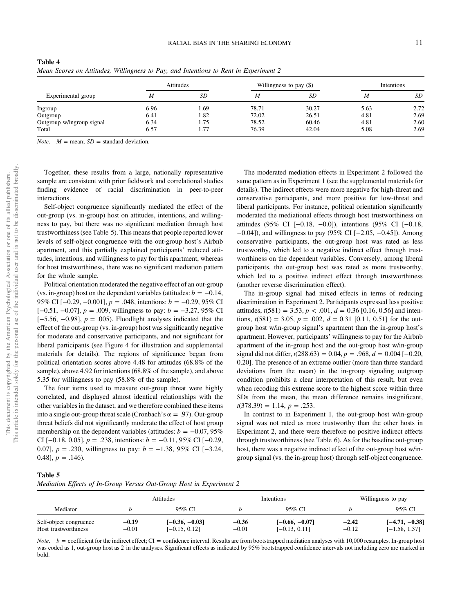|                           |      | Attitudes |       | Willingness to pay (\$) |      | <b>Intentions</b> |
|---------------------------|------|-----------|-------|-------------------------|------|-------------------|
| Experimental group        | M    | SD        | M     | SD                      | M    | SD                |
| Ingroup                   | 6.96 | . 69      | 78.71 | 30.27                   | 5.63 | 2.72              |
| Outgroup                  | 6.41 | 1.82      | 72.02 | 26.51                   | 4.81 | 2.69              |
| Outgroup w/ingroup signal | 6.34 | 1.75      | 78.52 | 60.46                   | 4.81 | 2.60              |
| Total                     | 6.57 | 1.77      | 76.39 | 42.04                   | 5.08 | 2.69              |

Table 4 *Mean Scores on Attitudes, Willingness to Pay, and Intentions to Rent in Experiment 2*

*Note.*  $M = \text{mean}$ ;  $SD = \text{standard deviation}$ .

Together, these results from a large, nationally representative sample are consistent with prior fieldwork and correlational studies finding evidence of racial discrimination in peer-to-peer interactions.

Self-object congruence significantly mediated the effect of the out-group (vs. in-group) host on attitudes, intentions, and willingness to pay, but there was no significant mediation through host trustworthiness (see Table 5). This means that people reported lower levels of self-object congruence with the out-group host's Airbnb apartment, and this partially explained participants' reduced attitudes, intentions, and willingness to pay for this apartment, whereas for host trustworthiness, there was no significant mediation pattern for the whole sample.

Political orientation moderated the negative effect of an out-group (vs. in-group) host on the dependent variables (attitudes:  $b = -0.14$ , 95% CI [−0.29, −0.001], *p* = .048, intentions: *b* = −0.29, 95% CI [−0.51, −0.07], *p* = .009, willingness to pay: *b* = −3.27, 95% CI [−5.56, −0.98], *p* = .005). Floodlight analyses indicated that the effect of the out-group (vs. in-group) host was significantly negative for moderate and conservative participants, and not significant for liberal participants (see Figure 4 for illustration and supplemental materials for details). The regions of significance began from political orientation scores above 4.48 for attitudes (68.8% of the sample), above 4.92 for intentions (68.8% of the sample), and above 5.35 for willingness to pay (58.8% of the sample).

The four items used to measure out-group threat were highly correlated, and displayed almost identical relationships with the other variables in the dataset, and we therefore combined these items into a single out-group threat scale (Cronbach's  $\alpha = .97$ ). Out-group threat beliefs did not significantly moderate the effect of host group membership on the dependent variables (attitudes:  $b = -0.07, 95\%$ CI [−0.18, 0.05], *p* = .238, intentions: *b* = −0.11, 95% CI [−0.29, 0.07], *p* = .230, willingness to pay: *b* = −1.38, 95% CI [−3.24, 0.48],  $p = .146$ .

The moderated mediation effects in Experiment 2 followed the same pattern as in Experiment 1 (see the supplemental materials for details). The indirect effects were more negative for high-threat and conservative participants, and more positive for low-threat and liberal participants. For instance, political orientation significantly moderated the mediational effects through host trustworthiness on attitudes (95% CI [−0.18, −0.0]), intentions (95% CI [−0.18, −0.04]), and willingness to pay (95% CI [−2.05, −0.45]). Among conservative participants, the out-group host was rated as less trustworthy, which led to a negative indirect effect through trustworthiness on the dependent variables. Conversely, among liberal participants, the out-group host was rated as more trustworthy, which led to a positive indirect effect through trustworthiness (another reverse discrimination effect).

The in-group signal had mixed effects in terms of reducing discrimination in Experiment 2. Participants expressed less positive attitudes,  $t(581) = 3.53$ ,  $p < .001$ ,  $d = 0.36$  [0.16, 0.56] and intentions,  $t(581) = 3.05$ ,  $p = .002$ ,  $d = 0.31$  [0.11, 0.51] for the outgroup host w/in-group signal's apartment than the in-group host's apartment. However, participants' willingness to pay for the Airbnb apartment of the in-group host and the out-group host w/in-group signal did not differ,  $t(288.63) = 0.04$ ,  $p = .968$ ,  $d = 0.004$  [-0.20, 0.20]. The presence of an extreme outlier (more than three standard deviations from the mean) in the in-group signaling outgroup condition prohibits a clear interpretation of this result, but even when recoding this extreme score to the highest score within three SDs from the mean, the mean difference remains insignificant,  $t(378.39) = 1.14, p = .253.$ 

In contrast to in Experiment 1, the out-group host w/in-group signal was not rated as more trustworthy than the other hosts in Experiment 2, and there were therefore no positive indirect effects through trustworthiness (see Table 6). As for the baseline out-group host, there was a negative indirect effect of the out-group host w/ingroup signal (vs. the in-group host) through self-object congruence.

# Table 5

|                                                |                    | Attitudes                           |                    | Intentions                          |                    | Willingness to pay                  |  |
|------------------------------------------------|--------------------|-------------------------------------|--------------------|-------------------------------------|--------------------|-------------------------------------|--|
| Mediator                                       |                    | 95% CI                              |                    | 95% CI                              |                    | 95% CI                              |  |
| Self-object congruence<br>Host trustworthiness | $-0.19$<br>$-0.01$ | $[-0.36, -0.03]$<br>$[-0.15, 0.12]$ | $-0.36$<br>$-0.01$ | $[-0.66, -0.07]$<br>$[-0.13, 0.11]$ | $-2.42$<br>$-0.12$ | $[-4.71, -0.38]$<br>$[-1.58, 1.37]$ |  |

*Note.*  $b =$  coefficient for the indirect effect; CI = confidence interval. Results are from bootstrapped mediation analyses with 10,000 resamples. In-group host was coded as 1, out-group host as 2 in the analyses. Significant effects as indicated by 95% bootstrapped confidence intervals not including zero are marked in bold.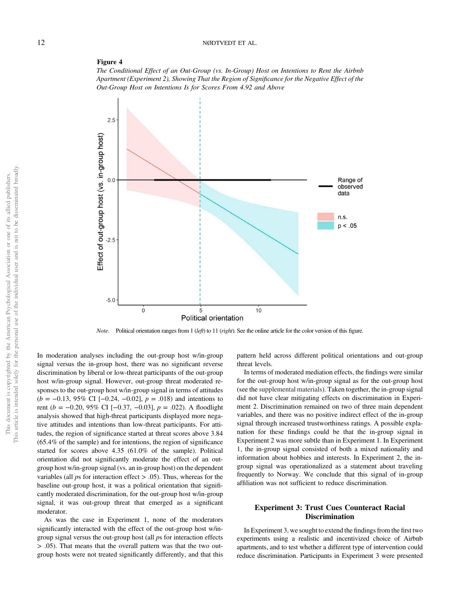# 12 NØDTVEDT ET AL.

#### Figure 4

*The Conditional Effect of an Out-Group (vs. In-Group) Host on Intentions to Rent the Airbnb Apartment (Experiment 2), Showing That the Region of Signi*fi*cance for the Negative Effect of the Out-Group Host on Intentions Is for Scores From 4.92 and Above*



*Note*. Political orientation ranges from 1 (*left*) to 11 (*right*). See the online article for the color version of this figure.

In moderation analyses including the out-group host w/in-group signal versus the in-group host, there was no significant reverse discrimination by liberal or low-threat participants of the out-group host w/in-group signal. However, out-group threat moderated responses to the out-group host w/in-group signal in terms of attitudes (*b* = −0.13, 95% CI [−0.24, −0.02], *p* = .018) and intentions to rent (*b* = −0.20, 95% CI [−0.37, −0.03], *p* = .022). A floodlight analysis showed that high-threat participants displayed more negative attitudes and intentions than low-threat participants. For attitudes, the region of significance started at threat scores above 3.84 (65.4% of the sample) and for intentions, the region of significance started for scores above 4.35 (61.0% of the sample). Political orientation did not significantly moderate the effect of an outgroup host w/in-group signal (vs. an in-group host) on the dependent variables (all *p*s for interaction effect > .05). Thus, whereas for the baseline out-group host, it was a political orientation that significantly moderated discrimination, for the out-group host w/in-group signal, it was out-group threat that emerged as a significant moderator.

As was the case in Experiment 1, none of the moderators significantly interacted with the effect of the out-group host w/ingroup signal versus the out-group host (all *p*s for interaction effects > .05). That means that the overall pattern was that the two outgroup hosts were not treated significantly differently, and that this

pattern held across different political orientations and out-group threat levels.

In terms of moderated mediation effects, the findings were similar for the out-group host w/in-group signal as for the out-group host (see the supplemental materials). Taken together, the in-group signal did not have clear mitigating effects on discrimination in Experiment 2. Discrimination remained on two of three main dependent variables, and there was no positive indirect effect of the in-group signal through increased trustworthiness ratings. A possible explanation for these findings could be that the in-group signal in Experiment 2 was more subtle than in Experiment 1. In Experiment 1, the in-group signal consisted of both a mixed nationality and information about hobbies and interests. In Experiment 2, the ingroup signal was operationalized as a statement about traveling frequently to Norway. We conclude that this signal of in-group affiliation was not sufficient to reduce discrimination.

# Experiment 3: Trust Cues Counteract Racial **Discrimination**

In Experiment 3, we sought to extend the findings from the first two experiments using a realistic and incentivized choice of Airbnb apartments, and to test whether a different type of intervention could reduce discrimination. Participants in Experiment 3 were presented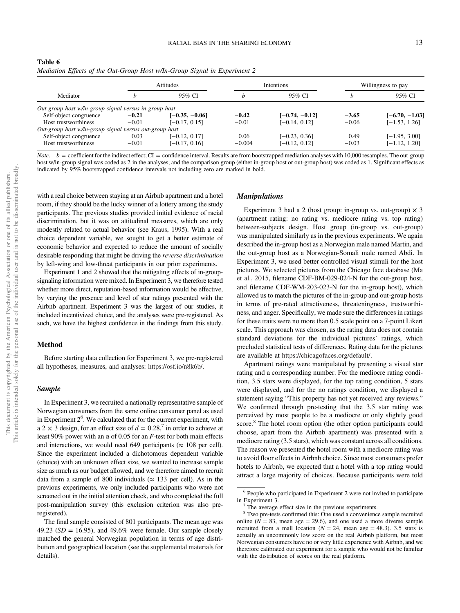| Table 6 |  |  |                                                                           |  |  |
|---------|--|--|---------------------------------------------------------------------------|--|--|
|         |  |  | Mediation Effects of the Out-Group Host w/In-Group Signal in Experiment 2 |  |  |

|                                                        |         | <b>Attitudes</b> |          | <i><u><b>Intentions</b></u></i> | Willingness to pay |                  |
|--------------------------------------------------------|---------|------------------|----------|---------------------------------|--------------------|------------------|
| Mediator                                               | h       | 95% CI           | h        | 95% CI                          |                    | 95% CI           |
| Out-group host w/in-group signal versus in-group host  |         |                  |          |                                 |                    |                  |
| Self-object congruence                                 | $-0.21$ | $[-0.35, -0.06]$ | $-0.42$  | $[-0.74, -0.12]$                | $-3.65$            | $[-6.70, -1.03]$ |
| Host trustworthiness                                   | $-0.01$ | $[-0.17, 0.15]$  | $-0.01$  | $[-0.14, 0.12]$                 | $-0.06$            | $[-1.53, 1.26]$  |
| Out-group host w/in-group signal versus out-group host |         |                  |          |                                 |                    |                  |
| Self-object congruence                                 | 0.03    | $[-0.12, 0.17]$  | 0.06     | $[-0.23, 0.36]$                 | 0.49               | $[-1.95, 3.00]$  |
| Host trustworthiness                                   | $-0.01$ | $[-0.17, 0.16]$  | $-0.004$ | $[-0.12, 0.12]$                 | $-0.03$            | $[-1.12, 1.20]$  |

 $b =$  coefficient for the indirect effect; CI = confidence interval. Results are from bootstrapped mediation analyses with 10,000 resamples. The out-group host w/in-group signal was coded as 2 in the analyses, and the comparison group (either in-group host or out-group host) was coded as 1. Significant effects as indicated by 95% bootstrapped confidence intervals not including zero are marked in bold.

with a real choice between staying at an Airbnb apartment and a hotel room, if they should be the lucky winner of a lottery among the study participants. The previous studies provided initial evidence of racial discrimination, but it was on attitudinal measures, which are only modestly related to actual behavior (see Kraus, 1995). With a real choice dependent variable, we sought to get a better estimate of economic behavior and expected to reduce the amount of socially desirable responding that might be driving the *reverse discrimination* by left-wing and low-threat participants in our prior experiments.

Experiment 1 and 2 showed that the mitigating effects of in-groupsignaling information were mixed. In Experiment 3, we therefore tested whether more direct, reputation-based information would be effective, by varying the presence and level of star ratings presented with the Airbnb apartment. Experiment 3 was the largest of our studies, it included incentivized choice, and the analyses were pre-registered. As such, we have the highest confidence in the findings from this study.

# Method

Before starting data collection for Experiment 3, we pre-registered all hypotheses, measures, and analyses: https://osf.io/n8k6b/.

# Sample

In Experiment 3, we recruited a nationally representative sample of Norwegian consumers from the same online consumer panel as used in Experiment  $2<sup>6</sup>$ . We calculated that for the current experiment, with a 2  $\times$  3 design, for an effect size of  $d = 0.28$ ,<sup>7</sup> in order to achieve at least 90% power with an α of 0.05 for an *F*-test for both main effects and interactions, we would need 649 participants ( $\approx$  108 per cell). Since the experiment included a dichotomous dependent variable (choice) with an unknown effect size, we wanted to increase sample size as much as our budget allowed, and we therefore aimed to recruit data from a sample of 800 individuals ( $\approx$  133 per cell). As in the previous experiments, we only included participants who were not screened out in the initial attention check, and who completed the full post-manipulation survey (this exclusion criterion was also preregistered).

The final sample consisted of 801 participants. The mean age was 49.23 (*SD* = 16.95), and 49.6% were female. Our sample closely matched the general Norwegian population in terms of age distribution and geographical location (see the supplemental materials for details).

# Manipulations

Experiment 3 had a 2 (host group: in-group vs. out-group)  $\times$  3 (apartment rating: no rating vs. mediocre rating vs. top rating) between-subjects design. Host group (in-group vs. out-group) was manipulated similarly as in the previous experiments. We again described the in-group host as a Norwegian male named Martin, and the out-group host as a Norwegian-Somali male named Abdi. In Experiment 3, we used better controlled visual stimuli for the host pictures. We selected pictures from the Chicago face database (Ma et al., 2015, filename CDF-BM-029-024-N for the out-group host, and filename CDF-WM-203-023-N for the in-group host), which allowed us to match the pictures of the in-group and out-group hosts in terms of pre-rated attractiveness, threateningness, trustworthiness, and anger. Specifically, we made sure the differences in ratings for these traits were no more than 0.5 scale point on a 7-point Likert scale. This approach was chosen, as the rating data does not contain standard deviations for the individual pictures' ratings, which precluded statistical tests of differences. Rating data for the pictures are available at https://chicagofaces.org/default/.

Apartment ratings were manipulated by presenting a visual star rating and a corresponding number. For the mediocre rating condition, 3.5 stars were displayed, for the top rating condition, 5 stars were displayed, and for the no ratings condition, we displayed a statement saying "This property has not yet received any reviews." We confirmed through pre-testing that the 3.5 star rating was perceived by most people to be a mediocre or only slightly good score.<sup>8</sup> The hotel room option (the other option participants could choose, apart from the Airbnb apartment) was presented with a mediocre rating (3.5 stars), which was constant across all conditions. The reason we presented the hotel room with a mediocre rating was to avoid floor effects in Airbnb choice. Since most consumers prefer hotels to Airbnb, we expected that a hotel with a top rating would attract a large majority of choices. Because participants were told

<sup>&</sup>lt;sup>6</sup> People who participated in Experiment 2 were not invited to participate in Experiment 3.

The average effect size in the previous experiments.

<sup>&</sup>lt;sup>8</sup> Two pre-tests confirmed this: One used a convenience sample recruited online  $(N = 83$ , mean age = 29.6), and one used a more diverse sample recruited from a mall location ( $N = 24$ , mean age = 48.3). 3.5 stars is actually an uncommonly low score on the real Airbnb platform, but most Norwegian consumers have no or very little experience with Airbnb, and we therefore calibrated our experiment for a sample who would not be familiar with the distribution of scores on the real platform.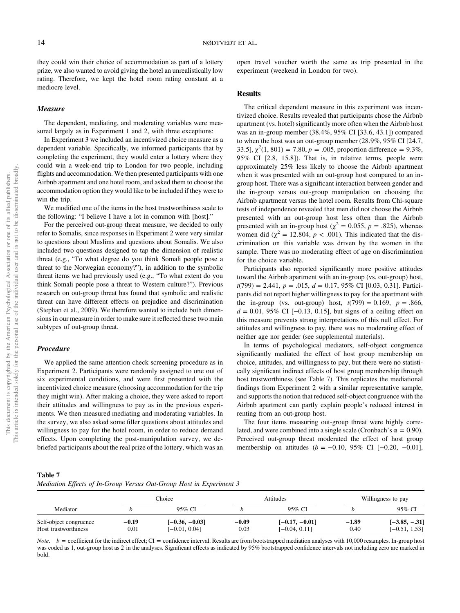they could win their choice of accommodation as part of a lottery prize, we also wanted to avoid giving the hotel an unrealistically low rating. Therefore, we kept the hotel room rating constant at a mediocre level.

# Measure

The dependent, mediating, and moderating variables were measured largely as in Experiment 1 and 2, with three exceptions:

In Experiment 3 we included an incentivized choice measure as a dependent variable. Specifically, we informed participants that by completing the experiment, they would enter a lottery where they could win a week-end trip to London for two people, including flights and accommodation. We then presented participants with one Airbnb apartment and one hotel room, and asked them to choose the accommodation option they would like to be included if they were to win the trip.

We modified one of the items in the host trustworthiness scale to the following: "I believe I have a lot in common with [host]."

For the perceived out-group threat measure, we decided to only refer to Somalis, since responses in Experiment 2 were very similar to questions about Muslims and questions about Somalis. We also included two questions designed to tap the dimension of realistic threat (e.g., "To what degree do you think Somali people pose a threat to the Norwegian economy?"), in addition to the symbolic threat items we had previously used (e.g., "To what extent do you think Somali people pose a threat to Western culture?"). Previous research on out-group threat has found that symbolic and realistic threat can have different effects on prejudice and discrimination (Stephan et al., 2009). We therefore wanted to include both dimensions in our measure in order to make sure it reflected these two main subtypes of out-group threat.

# Procedure

We applied the same attention check screening procedure as in Experiment 2. Participants were randomly assigned to one out of six experimental conditions, and were first presented with the incentivized choice measure (choosing accommodation for the trip they might win). After making a choice, they were asked to report their attitudes and willingness to pay as in the previous experiments. We then measured mediating and moderating variables. In the survey, we also asked some filler questions about attitudes and willingness to pay for the hotel room, in order to reduce demand effects. Upon completing the post-manipulation survey, we debriefed participants about the real prize of the lottery, which was an open travel voucher worth the same as trip presented in the experiment (weekend in London for two).

# Results

The critical dependent measure in this experiment was incentivized choice. Results revealed that participants chose the Airbnb apartment (vs. hotel) significantly more often when the Airbnb host was an in-group member (38.4%, 95% CI [33.6, 43.1]) compared to when the host was an out-group member (28.9%, 95% CI [24.7, 33.5],  $\chi^2(1, 801) = 7.80, p = .005$ , proportion difference = 9.3%, 95% CI [2.8, 15.8]). That is, in relative terms, people were approximately 25% less likely to choose the Airbnb apartment when it was presented with an out-group host compared to an ingroup host. There was a significant interaction between gender and the in-group versus out-group manipulation on choosing the Airbnb apartment versus the hotel room. Results from Chi-square tests of independence revealed that men did not choose the Airbnb presented with an out-group host less often than the Airbnb presented with an in-group host ( $\chi^2 = 0.055$ ,  $p = .825$ ), whereas women did ( $\chi^2 = 12.804$ ,  $p < .001$ ). This indicated that the discrimination on this variable was driven by the women in the sample. There was no moderating effect of age on discrimination for the choice variable.

Participants also reported significantly more positive attitudes toward the Airbnb apartment with an in-group (vs. out-group) host, *t*(799) = 2.441, *p* = .015, *d* = 0.17, 95% CI [0.03, 0.31]. Participants did not report higher willingness to pay for the apartment with the in-group (vs. out-group) host,  $t(799) = 0.169$ ,  $p = .866$ , *d* = 0.01, 95% CI [−0.13, 0.15], but signs of a ceiling effect on this measure prevents strong interpretations of this null effect. For attitudes and willingness to pay, there was no moderating effect of neither age nor gender (see supplemental materials).

In terms of psychological mediators, self-object congruence significantly mediated the effect of host group membership on choice, attitudes, and willingness to pay, but there were no statistically significant indirect effects of host group membership through host trustworthiness (see Table 7). This replicates the mediational findings from Experiment 2 with a similar representative sample, and supports the notion that reduced self-object congruence with the Airbnb apartment can partly explain people's reduced interest in renting from an out-group host.

The four items measuring out-group threat were highly correlated, and were combined into a single scale (Cronbach's  $\alpha = 0.90$ ). Perceived out-group threat moderated the effect of host group membership on attitudes (*b* = −0.10, 95% CI [−0.20, −0.01],

| l'able |  |
|--------|--|
|--------|--|

|  |  |  |  |  |  |  |  | Mediation Effects of In-Group Versus Out-Group Host in Experiment 3 |  |
|--|--|--|--|--|--|--|--|---------------------------------------------------------------------|--|
|--|--|--|--|--|--|--|--|---------------------------------------------------------------------|--|

|                                                | Choice          |                                     |                 | <b>Attitudes</b>                    | Willingness to pay |                                    |
|------------------------------------------------|-----------------|-------------------------------------|-----------------|-------------------------------------|--------------------|------------------------------------|
| Mediator                                       |                 | 95% CI                              |                 | 95% CI                              |                    | 95% CI                             |
| Self-object congruence<br>Host trustworthiness | $-0.19$<br>0.01 | $[-0.36, -0.03]$<br>$[-0.01, 0.04]$ | $-0.09$<br>0.03 | $[-0.17, -0.01]$<br>$[-0.04, 0.11]$ | $-1.89$<br>0.40    | $[-3.85, -.31]$<br>$[-0.51, 1.53]$ |

*Note.*  $b =$  coefficient for the indirect effect; CI = confidence interval. Results are from bootstrapped mediation analyses with 10,000 resamples. In-group host was coded as 1, out-group host as 2 in the analyses. Significant effects as indicated by 95% bootstrapped confidence intervals not including zero are marked in bold.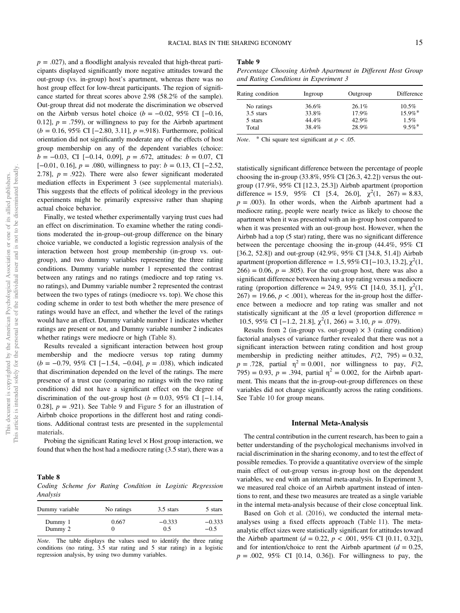$p = .027$ ), and a floodlight analysis revealed that high-threat participants displayed significantly more negative attitudes toward the out-group (vs. in-group) host's apartment, whereas there was no host group effect for low-threat participants. The region of significance started for threat scores above 2.98 (58.2% of the sample). Out-group threat did not moderate the discrimination we observed on the Airbnb versus hotel choice ( $b = -0.02$ , 95% CI [-0.16, 0.12],  $p = .759$ , or willingness to pay for the Airbnb apartment (*b* = 0.16, 95% CI [−2.80, 3.11], *p* =.918). Furthermore, political orientation did not significantly moderate any of the effects of host group membership on any of the dependent variables (choice: *b* = −0.03, CI [−0.14, 0.09], *p* = .672, attitudes: *b* = 0.07, CI [−0.01, 0.16], *p* = .080, willingness to pay: *b* = 0.13, CI [−2.52, 2.78],  $p = .922$ ). There were also fewer significant moderated mediation effects in Experiment 3 (see supplemental materials). This suggests that the effects of political ideology in the previous experiments might be primarily expressive rather than shaping actual choice behavior.

Finally, we tested whether experimentally varying trust cues had an effect on discrimination. To examine whether the rating conditions moderated the in-group–out-group difference on the binary choice variable, we conducted a logistic regression analysis of the interaction between host group membership (in-group vs. outgroup), and two dummy variables representing the three rating conditions. Dummy variable number 1 represented the contrast between any ratings and no ratings (mediocre and top rating vs. no ratings), and Dummy variable number 2 represented the contrast between the two types of ratings (mediocre vs. top). We chose this coding scheme in order to test both whether the mere presence of ratings would have an effect, and whether the level of the ratings would have an effect. Dummy variable number 1 indicates whether ratings are present or not, and Dummy variable number 2 indicates whether ratings were mediocre or high (Table 8).

Results revealed a significant interaction between host group membership and the mediocre versus top rating dummy (*b* = −0.79, 95% CI [−1.54, −0.04], *p* = .038), which indicated that discrimination depended on the level of the ratings. The mere presence of a trust cue (comparing no ratings with the two rating conditions) did not have a significant effect on the degree of discrimination of the out-group host ( $b = 0.03$ , 95% CI [−1.14, 0.28],  $p = .921$ ). See Table 9 and Figure 5 for an illustration of Airbnb choice proportions in the different host and rating conditions. Additional contrast tests are presented in the supplemental materials.

Probing the significant Rating level  $\times$  Host group interaction, we found that when the host had a mediocre rating (3.5 star), there was a

## Table 8

*Coding Scheme for Rating Condition in Logistic Regression Analysis*

| Dummy variable | No ratings | $3.5$ stars | 5 stars  |
|----------------|------------|-------------|----------|
| Dummy 1        | 0.667      | $-0.333$    | $-0.333$ |
| Dummy 2        |            | 0.5         | $-0.5$   |

*Note*. The table displays the values used to identify the three rating conditions (no rating, 3.5 star rating and 5 star rating) in a logistic regression analysis, by using two dummy variables.

#### Table 9

*Percentage Choosing Airbnb Apartment in Different Host Group and Rating Conditions in Experiment 3*

| Rating condition | Ingroup | Outgroup | Difference |
|------------------|---------|----------|------------|
| No ratings       | 36.6%   | 26.1%    | 10.5%      |
| $3.5$ stars      | 33.8%   | 17.9%    | $15.9\%$ * |
| 5 stars          | 44.4%   | 42.9%    | 1.5%       |
| Total            | 38.4%   | 28.9%    | $9.5\%$ *  |
|                  |         |          |            |

*Note.* \* Chi square test significant at  $p < .05$ .

statistically significant difference between the percentage of people choosing the in-group  $(33.8\%, 95\% \text{ CI} [26.3, 42.2])$  versus the outgroup (17.9%, 95% CI [12.3, 25.3]) Airbnb apartment (proportion difference = 15.9, 95% CI [5.4, 26.0],  $\chi^2(1, 267) = 8.83$ ,  $p = .003$ ). In other words, when the Airbnb apartment had a mediocre rating, people were nearly twice as likely to choose the apartment when it was presented with an in-group host compared to when it was presented with an out-group host. However, when the Airbnb had a top (5 star) rating, there was no significant difference between the percentage choosing the in-group (44.4%, 95% CI [36.2, 52.8]) and out-group (42.9%, 95% CI [34.8, 51.4]) Airbnb apartment (proportion difference = 1.5, 95% CI [-10.3, 13.2],  $\chi^2(1,$  $266$ ) = 0.06,  $p = .805$ ). For the out-group host, there was also a significant difference between having a top rating versus a mediocre rating (proportion difference = 24.9, 95% CI [14.0, 35.1],  $\chi^2(1,$  $267$ ) = 19.66,  $p < .001$ ), whereas for the in-group host the difference between a mediocre and top rating was smaller and not statistically significant at the .05  $\alpha$  level (proportion difference = 10.5, 95% CI [−1.2, 21.8],  $\chi^2$ (1, 266) = 3.10, *p* = .079).

Results from 2 (in-group vs. out-group)  $\times$  3 (rating condition) factorial analyses of variance further revealed that there was not a significant interaction between rating condition and host group membership in predicting neither attitudes,  $F(2, 795) = 0.32$ ,  $p = .728$ , partial  $\eta^2 = 0.001$ , nor willingness to pay,  $F(2, \theta)$ 795) = 0.93,  $p = .394$ , partial  $\eta^2 = 0.002$ , for the Airbnb apartment. This means that the in-group-out-group differences on these variables did not change significantly across the rating conditions. See Table 10 for group means.

#### Internal Meta-Analysis

The central contribution in the current research, has been to gain a better understanding of the psychological mechanisms involved in racial discrimination in the sharing economy, and to test the effect of possible remedies. To provide a quantitative overview of the simple main effect of out-group versus in-group host on the dependent variables, we end with an internal meta-analysis. In Experiment 3, we measured real choice of an Airbnb apartment instead of intentions to rent, and these two measures are treated as a single variable in the internal meta-analysis because of their close conceptual link.

Based on Goh et al. (2016), we conducted the internal metaanalyses using a fixed effects approach (Table 11). The metaanalytic effect sizes were statistically significant for attitudes toward the Airbnb apartment ( $d = 0.22$ ,  $p < .001$ , 95% CI [0.11, 0.32]), and for intention/choice to rent the Airbnb apartment  $(d = 0.25)$ ,  $p = .002, 95\%$  CI [0.14, 0.36]). For willingness to pay, the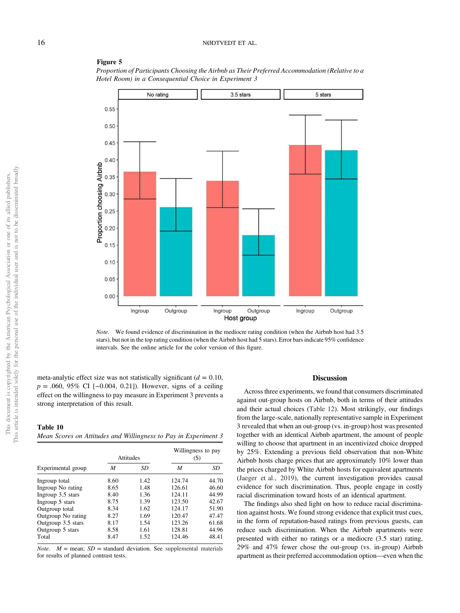#### Figure 5

*Proportion of Participants Choosing the Airbnb as Their Preferred Accommodation (Relative to a Hotel Room) in a Consequential Choice in Experiment 3*



*Note*. We found evidence of discrimination in the mediocre rating condition (when the Airbnb host had 3.5 stars), but not in the top rating condition (when the Airbnb host had 5 stars). Error bars indicate 95% confidence intervals. See the online article for the color version of this figure.

meta-analytic effect size was not statistically significant  $(d = 0.10)$ , *p* = .060, 95% CI [−0.004, 0.21]). However, signs of a ceiling effect on the willingness to pay measure in Experiment 3 prevents a strong interpretation of this result.

Table 10 *Mean Scores on Attitudes and Willingness to Pay in Experiment 3*

|                    |      | Attitudes | Willingness to pay<br>$($ \$) |       |  |
|--------------------|------|-----------|-------------------------------|-------|--|
| Experimental group | M    | SD        | M                             | SD    |  |
| Ingroup total      | 8.60 | 1.42      | 124.74                        | 44.70 |  |
| Ingroup No rating  | 8.65 | 1.48      | 126.61                        | 46.60 |  |
| Ingroup 3.5 stars  | 8.40 | 1.36      | 124.11                        | 44.99 |  |
| Ingroup 5 stars    | 8.75 | 1.39      | 123.50                        | 42.67 |  |
| Outgroup total     | 8.34 | 1.62      | 124.17                        | 51.90 |  |
| Outgroup No rating | 8.27 | 1.69      | 120.47                        | 47.47 |  |
| Outgroup 3.5 stars | 8.17 | 1.54      | 123.26                        | 61.68 |  |
| Outgroup 5 stars   | 8.58 | 1.61      | 128.81                        | 44.96 |  |
| Total              | 8.47 | 1.52      | 124.46                        | 48.41 |  |

*Note.*  $M = \text{mean}$ ;  $SD = \text{standard deviation}$ . See supplemental materials for results of planned contrast tests.

## **Discussion**

Across three experiments, we found that consumers discriminated against out-group hosts on Airbnb, both in terms of their attitudes and their actual choices (Table 12). Most strikingly, our findings from the large-scale, nationally representative sample in Experiment 3 revealed that when an out-group (vs. in-group) host was presented together with an identical Airbnb apartment, the amount of people willing to choose that apartment in an incentivized choice dropped by 25%. Extending a previous field observation that non-White Airbnb hosts charge prices that are approximately 10% lower than the prices charged by White Airbnb hosts for equivalent apartments (Jaeger et al., 2019), the current investigation provides causal evidence for such discrimination. Thus, people engage in costly racial discrimination toward hosts of an identical apartment.

The findings also shed light on how to reduce racial discrimination against hosts. We found strong evidence that explicit trust cues, in the form of reputation-based ratings from previous guests, can reduce such discrimination. When the Airbnb apartments were presented with either no ratings or a mediocre (3.5 star) rating, 29% and 47% fewer chose the out-group (vs. in-group) Airbnb apartment as their preferred accommodation option—even when the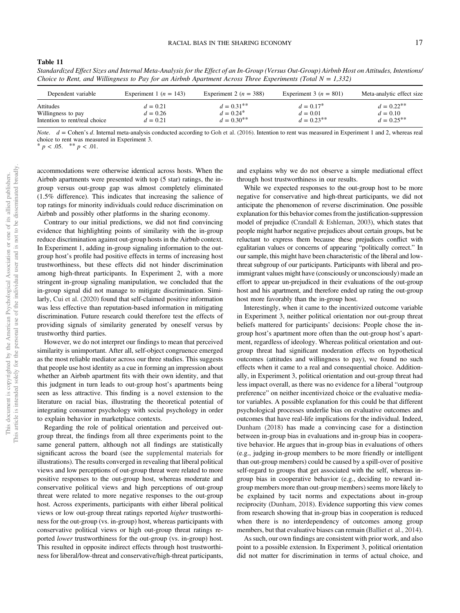Table 11

| Dependent variable            | Experiment 1 ( $n = 143$ ) | Experiment 2 ( $n = 388$ ) | Experiment 3 ( $n = 801$ ) | Meta-analytic effect size |
|-------------------------------|----------------------------|----------------------------|----------------------------|---------------------------|
| Attitudes                     | $d = 0.21$                 | $d = 0.31***$              | $d = 0.17^*$               | $d = 0.22^{**}$           |
| Willingness to pay            | $d = 0.26$                 | $d = 0.24^*$               | $d = 0.01$                 | $d = 0.10$                |
| Intention to rent/real choice | $d = 0.21$                 | $d = 0.30^{**}$            | $d = 0.23^{**}$            | $d = 0.25^{**}$           |

*Standardized Effect Sizes and Internal Meta-Analysis for the Effect of an In-Group (Versus Out-Group) Airbnb Host on Attitudes, Intentions/ Choice to Rent, and Willingness to Pay for an Airbnb Apartment Across Three Experiments (Total*  $N = 1,332$ *)* 

*Note*. *d* = Cohen's *d*. Internal meta-analysis conducted according to Goh et al. (2016). Intention to rent was measured in Experiment 1 and 2, whereas real choice to rent was measured in Experiment 3.

 $p < .05.$  \*\*  $p < .01.$ 

accommodations were otherwise identical across hosts. When the Airbnb apartments were presented with top (5 star) ratings, the ingroup versus out-group gap was almost completely eliminated (1.5% difference). This indicates that increasing the salience of top ratings for minority individuals could reduce discrimination on Airbnb and possibly other platforms in the sharing economy.

Contrary to our initial predictions, we did not find convincing evidence that highlighting points of similarity with the in-group reduce discrimination against out-group hosts in the Airbnb context. In Experiment 1, adding in-group signaling information to the outgroup host's profile had positive effects in terms of increasing host trustworthiness, but these effects did not hinder discrimination among high-threat participants. In Experiment 2, with a more stringent in-group signaling manipulation, we concluded that the in-group signal did not manage to mitigate discrimination. Similarly, Cui et al. (2020) found that self-claimed positive information was less effective than reputation-based information in mitigating discrimination. Future research could therefore test the effects of providing signals of similarity generated by oneself versus by trustworthy third parties.

However, we do not interpret our findings to mean that perceived similarity is unimportant. After all, self-object congruence emerged as the most reliable mediator across our three studies. This suggests that people use host identity as a cue in forming an impression about whether an Airbnb apartment fits with their own identity, and that this judgment in turn leads to out-group host's apartments being seen as less attractive. This finding is a novel extension to the literature on racial bias, illustrating the theoretical potential of integrating consumer psychology with social psychology in order to explain behavior in marketplace contexts.

Regarding the role of political orientation and perceived outgroup threat, the findings from all three experiments point to the same general pattern, although not all findings are statistically significant across the board (see the supplemental materials for illustrations). The results converged in revealing that liberal political views and low perceptions of out-group threat were related to more positive responses to the out-group host, whereas moderate and conservative political views and high perceptions of out-group threat were related to more negative responses to the out-group host. Across experiments, participants with either liberal political views or low out-group threat ratings reported *higher* trustworthiness for the out-group (vs. in-group) host, whereas participants with conservative political views or high out-group threat ratings reported *lower* trustworthiness for the out-group (vs. in-group) host. This resulted in opposite indirect effects through host trustworthiness for liberal/low-threat and conservative/high-threat participants, and explains why we do not observe a simple mediational effect through host trustworthiness in our results.

While we expected responses to the out-group host to be more negative for conservative and high-threat participants, we did not anticipate the phenomenon of reverse discrimination. One possible explanation for this behavior comes from the justification-suppression model of prejudice (Crandall & Eshleman, 2003), which states that people might harbor negative prejudices about certain groups, but be reluctant to express them because these prejudices conflict with egalitarian values or concerns of appearing "politically correct." In our sample, this might have been characteristic of the liberal and lowthreat subgroup of our participants. Participants with liberal and proimmigrant values might have (consciously or unconsciously) made an effort to appear un-prejudiced in their evaluations of the out-group host and his apartment, and therefore ended up rating the out-group host more favorably than the in-group host.

Interestingly, when it came to the incentivized outcome variable in Experiment 3, neither political orientation nor out-group threat beliefs mattered for participants' decisions: People chose the ingroup host's apartment more often than the out-group host's apartment, regardless of ideology. Whereas political orientation and outgroup threat had significant moderation effects on hypothetical outcomes (attitudes and willingness to pay), we found no such effects when it came to a real and consequential choice. Additionally, in Experiment 3, political orientation and out-group threat had less impact overall, as there was no evidence for a liberal "outgroup preference" on neither incentivized choice or the evaluative mediator variables. A possible explanation for this could be that different psychological processes underlie bias on evaluative outcomes and outcomes that have real-life implications for the individual. Indeed, Dunham (2018) has made a convincing case for a distinction between in-group bias in evaluations and in-group bias in cooperative behavior. He argues that in-group bias in evaluations of others (e.g., judging in-group members to be more friendly or intelligent than out-group members) could be caused by a spill-over of positive self-regard to groups that get associated with the self, whereas ingroup bias in cooperative behavior (e.g., deciding to reward ingroup members more than out-group members) seems more likely to be explained by tacit norms and expectations about in-group reciprocity (Dunham, 2018). Evidence supporting this view comes from research showing that in-group bias in cooperation is reduced when there is no interdependency of outcomes among group members, but that evaluative biases can remain (Balliet et al., 2014).

As such, our own findings are consistent with prior work, and also point to a possible extension. In Experiment 3, political orientation did not matter for discrimination in terms of actual choice, and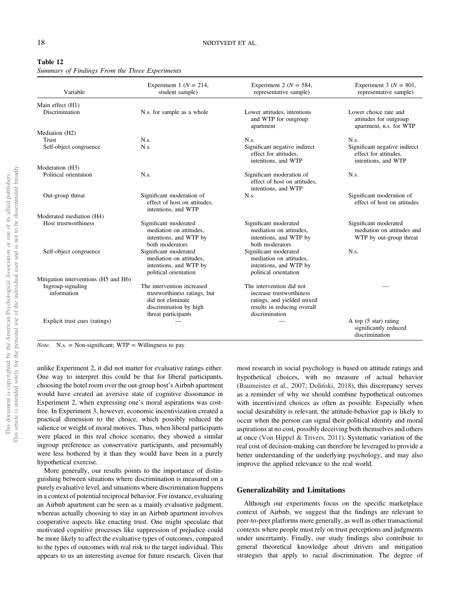| Variable                             | Experiment 1 ( $N = 214$ ,<br>student sample)                                                                                    | Experiment 2 ( $N = 584$ ,<br>representative sample)                                                                                | Experiment 3 ( $N = 801$ ,<br>representative sample)                           |
|--------------------------------------|----------------------------------------------------------------------------------------------------------------------------------|-------------------------------------------------------------------------------------------------------------------------------------|--------------------------------------------------------------------------------|
| Main effect (H1)                     |                                                                                                                                  |                                                                                                                                     |                                                                                |
| Discrimination                       | N.s. for sample as a whole                                                                                                       | Lower attitudes, intentions<br>and WTP for outgroup<br>apartment                                                                    | Lower choice rate and<br>attitudes for outgroup<br>apartment, n.s. for WTP     |
| Mediation (H2)                       |                                                                                                                                  |                                                                                                                                     |                                                                                |
| Trust                                | $N_{.S}$                                                                                                                         | $N_{.S}$ .                                                                                                                          | $N_{.S}$ .                                                                     |
| Self-object congruence               | $N_{.S.}$                                                                                                                        | Significant negative indirect<br>effect for attitudes.<br>intentions, and WTP                                                       | Significant negative indirect<br>effect for attitudes.<br>intentions, and WTP  |
| Moderation (H3)                      |                                                                                                                                  |                                                                                                                                     |                                                                                |
| Political orientation                | $N_{.S.}$                                                                                                                        | Significant moderation of<br>effect of host on attitudes.<br>intentions, and WTP                                                    | $N_{.S}$                                                                       |
| Out-group threat                     | Significant moderation of<br>effect of host on attitudes.<br>intentions, and WTP                                                 | $N_{.S.}$                                                                                                                           | Significant moderation of<br>effect of host on attitudes                       |
| Moderated mediation (H4)             |                                                                                                                                  |                                                                                                                                     |                                                                                |
| Host trustworthiness                 | Significant moderated<br>mediation on attitudes,<br>intentions, and WTP by<br>both moderators                                    | Significant moderated<br>mediation on attitudes.<br>intentions, and WTP by<br>both moderators                                       | Significant moderated<br>mediation on attitudes and<br>WTP by out-group threat |
| Self-object congruence               | Significant moderated<br>mediation on attitudes.<br>intentions, and WTP by<br>political orientation                              | Significant moderated<br>mediation on attitudes,<br>intentions, and WTP by<br>political orientation                                 | N.s.                                                                           |
| Mitigation interventions (H5 and H6) |                                                                                                                                  |                                                                                                                                     |                                                                                |
| Ingroup-signaling<br>information     | The intervention increased<br>trustworthiness ratings, but<br>did not eliminate<br>discrimination by high<br>threat participants | The intervention did not<br>increase trustworthiness<br>ratings, and yielded mixed<br>results in reducing overall<br>discrimination |                                                                                |
| Explicit trust cues (ratings)        |                                                                                                                                  |                                                                                                                                     | A top (5 star) rating<br>significantly reduced<br>discrimination               |

| Table 12                                       |  |  |
|------------------------------------------------|--|--|
| Summary of Findings From the Three Experiments |  |  |

*Note.* N.s. = Non-significant;  $WTP =$  Willingness to pay.

unlike Experiment 2, it did not matter for evaluative ratings either. One way to interpret this could be that for liberal participants, choosing the hotel room over the out-group host's Airbnb apartment would have created an aversive state of cognitive dissonance in Experiment 2, when expressing one's moral aspirations was costfree. In Experiment 3, however, economic incentivization created a practical dimension to the choice, which possibly reduced the salience or weight of moral motives. Thus, when liberal participants were placed in this real choice scenario, they showed a similar ingroup preference as conservative participants, and presumably were less bothered by it than they would have been in a purely hypothetical exercise.

More generally, our results points to the importance of distinguishing between situations where discrimination is measured on a purely evaluative level, and situations where discrimination happens in a context of potential reciprocal behavior. For instance, evaluating an Airbnb apartment can be seen as a mainly evaluative judgment, whereas actually choosing to stay in an Airbnb apartment involves cooperative aspects like enacting trust. One might speculate that motivated cognitive processes like suppression of prejudice could be more likely to affect the evaluative types of outcomes, compared to the types of outcomes with real risk to the target individual. This appears to us an interesting avenue for future research. Given that

most research in social psychology is based on attitude ratings and hypothetical choices, with no measure of actual behavior (Baumeister et al., 2007; Doliński, 2018), this discrepancy serves as a reminder of why we should combine hypothetical outcomes with incentivized choices as often as possible. Especially when social desirability is relevant, the attitude-behavior gap is likely to occur when the person can signal their political identity and moral aspirations at no cost, possibly deceiving both themselves and others at once (Von Hippel & Trivers, 2011). Systematic variation of the real cost of decision-making can therefore be leveraged to provide a better understanding of the underlying psychology, and may also improve the applied relevance to the real world.

# Generalizability and Limitations

Although our experiments focus on the specific marketplace context of Airbnb, we suggest that the findings are relevant to peer-to-peer platforms more generally, as well as other transactional contexts where people must rely on trust perceptions and judgments under uncertainty. Finally, our study findings also contribute to general theoretical knowledge about drivers and mitigation strategies that apply to racial discrimination. The degree of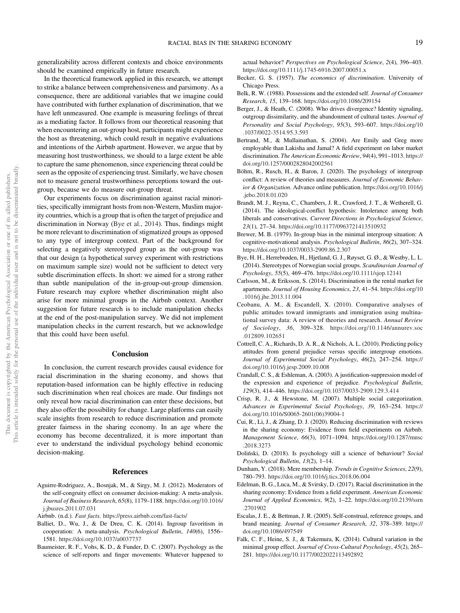generalizability across different contexts and choice environments should be examined empirically in future research.

In the theoretical framework applied in this research, we attempt to strike a balance between comprehensiveness and parsimony. As a consequence, there are additional variables that we imagine could have contributed with further explanation of discrimination, that we have left unmeasured. One example is measuring feelings of threat as a mediating factor. It follows from our theoretical reasoning that when encountering an out-group host, participants might experience the host as threatening, which could result in negative evaluations and intentions of the Airbnb apartment. However, we argue that by measuring host trustworthiness, we should to a large extent be able to capture the same phenomenon, since experiencing threat could be seen as the opposite of experiencing trust. Similarly, we have chosen not to measure general trustworthiness perceptions toward the outgroup, because we do measure out-group threat.

Our experiments focus on discrimination against racial minorities, specifically immigrant hosts from non-Western, Muslim majority countries, which is a group that is often the target of prejudice and discrimination in Norway (Bye et al., 2014). Thus, findings might be more relevant to discrimination of stigmatized groups as opposed to any type of intergroup context. Part of the background for selecting a negatively stereotyped group as the out-group was that our design (a hypothetical survey experiment with restrictions on maximum sample size) would not be sufficient to detect very subtle discrimination effects. In short: we aimed for a strong rather than subtle manipulation of the in-group-out-group dimension. Future research may explore whether discrimination might also arise for more minimal groups in the Airbnb context. Another suggestion for future research is to include manipulation checks at the end of the post-manipulation survey. We did not implement manipulation checks in the current research, but we acknowledge that this could have been useful.

## Conclusion

In conclusion, the current research provides causal evidence for racial discrimination in the sharing economy, and shows that reputation-based information can be highly effective in reducing such discrimination when real choices are made. Our findings not only reveal how racial discrimination can enter these decisions, but they also offer the possibility for change. Large platforms can easily scale insights from research to reduce discrimination and promote greater fairness in the sharing economy. In an age where the economy has become decentralized, it is more important than ever to understand the individual psychology behind economic decision-making.

## References

- Aguirre-Rodriguez, A., Bosnjak, M., & Sirgy, M. J. (2012). Moderators of the self-congruity effect on consumer decision-making: A meta-analysis. *Journal of Business Research*, *65*(8), 1179–1188. https://doi.org/10.1016/ j.jbusres.2011.07.031
- Airbnb. (n.d.). *Fast facts*. https://press.airbnb.com/fast-facts/
- Balliet, D., Wu, J., & De Dreu, C. K. (2014). Ingroup favoritism in cooperation: A meta-analysis. *Psychological Bulletin*, *140*(6), 1556– 1581. https://doi.org/10.1037/a0037737
- Baumeister, R. F., Vohs, K. D., & Funder, D. C. (2007). Psychology as the science of self-reports and finger movements: Whatever happened to

actual behavior? *Perspectives on Psychological Science*, *2*(4), 396–403. https://doi.org/10.1111/j.1745-6916.2007.00051.x

- Becker, G. S. (1957). *The economics of discrimination*. University of Chicago Press.
- Belk, R. W. (1988). Possessions and the extended self. *Journal of Consumer Research*, *15*, 139–168. https://doi.org/10.1086/209154
- Berger, J., & Heath, C. (2008). Who drives divergence? Identity signaling, outgroup dissimilarity, and the abandonment of cultural tastes. *Journal of Personality and Social Psychology*, *95*(3), 593–607. https://doi.org/10 .1037/0022-3514.95.3.593
- Bertrand, M., & Mullainathan, S. (2004). Are Emily and Greg more employable than Lakisha and Jamal? A field experiment on labor market discrimination. *The American Economic Review*, *94*(4), 991–1013. https:// doi.org/10.1257/0002828042002561
- Böhm, R., Rusch, H., & Baron, J. (2020). The psychology of intergroup conflict: A review of theories and measures. *Journal of Economic Behavior & Organization*. Advance online publication. https://doi.org/10.1016/j .jebo.2018.01.020
- Brandt, M. J., Reyna, C., Chambers, J. R., Crawford, J. T., & Wetherell, G. (2014). The ideological-conflict hypothesis: Intolerance among both liberals and conservatives. *Current Directions in Psychological Science*, *23*(1), 27–34. https://doi.org/10.1177/0963721413510932
- Brewer, M. B. (1979). In-group bias in the minimal intergroup situation: A cognitive-motivational analysis. *Psychological Bulletin*, *86*(2), 307–324. https://doi.org/10.1037/0033-2909.86.2.307
- Bye, H. H., Herrebrøden, H., Hjetland, G. J., Røyset, G. Ø., & Westby, L. L. (2014). Stereotypes of Norwegian social groups. *Scandinavian Journal of Psychology*, *55*(5), 469–476. https://doi.org/10.1111/sjop.12141
- Carlsson, M., & Eriksson, S. (2014). Discrimination in the rental market for apartments. *Journal of Housing Economics*, *23*, 41–54. https://doi.org/10 .1016/j.jhe.2013.11.004
- Ceobanu, A. M., & Escandell, X. (2010). Comparative analyses of public attitudes toward immigrants and immigration using multinational survey data: A review of theories and research. *Annual Review of Sociology*, *36*, 309–328. https://doi.org/10.1146/annurev.soc .012809.102651
- Cottrell, C. A., Richards, D. A. R., & Nichols, A. L. (2010). Predicting policy attitudes from general prejudice versus specific intergroup emotions. *Journal of Experimental Social Psychology*, *46*(2), 247–254. https:// doi.org/10.1016/j.jesp.2009.10.008
- Crandall, C. S., & Eshleman, A. (2003). A justification-suppression model of the expression and experience of prejudice. *Psychological Bulletin*, *129*(3), 414–446. https://doi.org/10.1037/0033-2909.129.3.414
- Crisp, R. J., & Hewstone, M. (2007). Multiple social categorization. *Advances in Experimental Social Psychology*, *39*, 163–254. https:// doi.org/10.1016/S0065-2601(06)39004-1
- Cui, R., Li, J., & Zhang, D. J. (2020). Reducing discrimination with reviews in the sharing economy: Evidence from field experiments on Airbnb. *Management Science*, *66*(3), 1071–1094. https://doi.org/10.1287/mnsc .2018.3273
- Doliński, D. (2018). Is psychology still a science of behaviour? *Social Psychological Bulletin*, *13*(2), 1–14.
- Dunham, Y. (2018). Mere membership. *Trends in Cognitive Sciences*, *22*(9), 780–793. https://doi.org/10.1016/j.tics.2018.06.004
- Edelman, B. G., Luca, M., & Svirsky, D. (2017). Racial discrimination in the sharing economy: Evidence from a field experiment. *American Economic Journal of Applied Economics*, *9*(2), 1–22. https://doi.org/10.2139/ssrn .2701902
- Escalas, J. E., & Bettman, J. R. (2005). Self-construal, reference groups, and brand meaning. *Journal of Consumer Research*, *32*, 378–389. https:// doi.org/10.1086/497549
- Falk, C. F., Heine, S. J., & Takemura, K. (2014). Cultural variation in the minimal group effect. *Journal of Cross-Cultural Psychology*, *45*(2), 265– 281. https://doi.org/10.1177/0022022113492892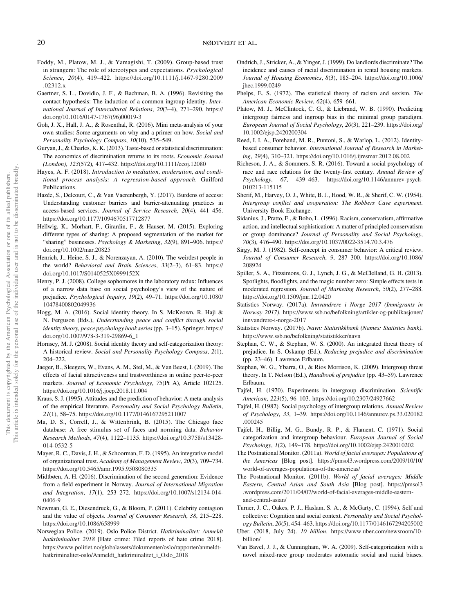- Foddy, M., Platow, M. J., & Yamagishi, T. (2009). Group-based trust in strangers: The role of stereotypes and expectations. *Psychological Science*, *20*(4), 419–422. https://doi.org/10.1111/j.1467-9280.2009 .02312.x
- Gaertner, S. L., Dovidio, J. F., & Bachman, B. A. (1996). Revisiting the contact hypothesis: The induction of a common ingroup identity. *International Journal of Intercultural Relations*, *20*(3–4), 271–290. https:// doi.org/10.1016/0147-1767(96)00019-3
- Goh, J. X., Hall, J. A., & Rosenthal, R. (2016). Mini meta-analysis of your own studies: Some arguments on why and a primer on how. *Social and Personality Psychology Compass*, *10*(10), 535–549.
- Guryan, J., & Charles, K. K. (2013). Taste-based or statistical discrimination: The economics of discrimination returns to its roots. *Economic Journal (London)*, *123*(572), 417–432. https://doi.org/10.1111/ecoj.12080
- Hayes, A. F. (2018). *Introduction to mediation, moderation, and conditional process analysis: A regression-based approach*. Guilford Publications.
- Hazée, S., Delcourt, C., & Van Vaerenbergh, Y. (2017). Burdens of access: Understanding customer barriers and barrier-attenuating practices in access-based services. *Journal of Service Research*, *20*(4), 441–456. https://doi.org/10.1177/1094670517712877
- Hellwig, K., Morhart, F., Girardin, F., & Hauser, M. (2015). Exploring different types of sharing: A proposed segmentation of the market for "sharing" businesses. *Psychology & Marketing*, *32*(9), 891–906. https:// doi.org/10.1002/mar.20825
- Henrich, J., Heine, S. J., & Norenzayan, A. (2010). The weirdest people in the world? *Behavioral and Brain Sciences*, *33*(2–3), 61–83. https:// doi.org/10.1017/S0140525X0999152X
- Henry, P. J. (2008). College sophomores in the laboratory redux: Influences of a narrow data base on social psychology's view of the nature of prejudice. *Psychological Inquiry*, *19*(2), 49–71. https://doi.org/10.1080/ 10478400802049936
- Hogg, M. A. (2016). Social identity theory. In S. McKeown, R. Haji & N. Ferguson (Eds.), *Understanding peace and con*fl*ict through social identity theory, peace psychology book series*(pp. 3–15). Springer. https:// doi.org/10.1007/978-3-319-29869-6\_1
- Hornsey, M. J. (2008). Social identity theory and self-categorization theory: A historical review. *Social and Personality Psychology Compass*, *2*(1), 204–222.
- Jaeger, B., Sleegers, W., Evans, A. M., Stel, M., & Van Beest, I. (2019). The effects of facial attractiveness and trustworthiness in online peer-to-peer markets. *Journal of Economic Psychology*, *75*(Pt A), Article 102125. https://doi.org/10.1016/j.joep.2018.11.004
- Kraus, S. J. (1995). Attitudes and the prediction of behavior: A meta-analysis of the empirical literature. *Personality and Social Psychology Bulletin*, *21*(1), 58–75. https://doi.org/10.1177/0146167295211007
- Ma, D. S., Correll, J., & Wittenbrink, B. (2015). The Chicago face database: A free stimulus set of faces and norming data. *Behavior Research Methods*, *47*(4), 1122–1135. https://doi.org/10.3758/s13428- 014-0532-5
- Mayer, R. C., Davis, J. H., & Schoorman, F. D. (1995). An integrative model of organizational trust. *Academy of Management Review*, *20*(3), 709–734. https://doi.org/10.5465/amr.1995.9508080335
- Midtbøen, A. H. (2016). Discrimination of the second generation: Evidence from a field experiment in Norway. *Journal of International Migration and Integration*, *17*(1), 253–272. https://doi.org/10.1007/s12134-014- 0406-9
- Newman, G. E., Diesendruck, G., & Bloom, P. (2011). Celebrity contagion and the value of objects. *Journal of Consumer Research*, *38*, 215–228. https://doi.org/10.1086/658999
- Norwegian Police. (2019). Oslo Police District. *Hatkriminalitet: Anmeldt hatkriminalitet 2018* [Hate crime: Filed reports of hate crime 2018]. https://www.politiet.no/globalassets/dokumenter/oslo/rapporter/anmeldthatkriminalitet-oslo/Anmeldt\_hatkriminalitet\_i\_Oslo\_2018
- Ondrich, J., Stricker, A., & Yinger, J. (1999). Do landlords discriminate? The incidence and causes of racial discrimination in rental housing markets. *Journal of Housing Economics*, *8*(3), 185–204. https://doi.org/10.1006/ jhec.1999.0249
- Phelps, E. S. (1972). The statistical theory of racism and sexism. *The American Economic Review*, *62*(4), 659–661.
- Platow, M. J., McClintock, C. G., & Liebrand, W. B. (1990). Predicting intergroup fairness and ingroup bias in the minimal group paradigm. *European Journal of Social Psychology*, *20*(3), 221–239. https://doi.org/ 10.1002/ejsp.2420200304
- Reed, I. I. A., Forehand, M. R., Puntoni, S., & Warlop, L. (2012). Identitybased consumer behavior. *International Journal of Research in Marketing*, *29*(4), 310–321. https://doi.org/10.1016/j.ijresmar.2012.08.002
- Richeson, J. A., & Sommers, S. R. (2016). Toward a social psychology of race and race relations for the twenty-first century. *Annual Review of Psychology*, *67*, 439–463. https://doi.org/10.1146/annurev-psych-010213-115115
- Sherif, M., Harvey, O. J., White, B. J., Hood, W. R., & Sherif, C. W. (1954). *Intergroup con*fl*ict and cooperation: The Robbers Cave experiment*. University Book Exchange.
- Sidanius, J., Pratto, F., & Bobo, L. (1996). Racism, conservatism, affirmative action, and intellectual sophistication: A matter of principled conservatism or group dominance? *Journal of Personality and Social Psychology*, *70*(3), 476–490. https://doi.org/10.1037/0022-3514.70.3.476
- Sirgy, M. J. (1982). Self-concept in consumer behavior: A critical review. *Journal of Consumer Research*, *9*, 287–300. https://doi.org/10.1086/ 208924
- Spiller, S. A., Fitzsimons, G. J., Lynch, J. G., & McClelland, G. H. (2013). Spotlights, floodlights, and the magic number zero: Simple effects tests in moderated regression. *Journal of Marketing Research*, *50*(2), 277–288. https://doi.org/10.1509/jmr.12.0420
- Statistics Norway. (2017a). *Innvandrere i Norge 2017 (Immigrants in Norway 2017)*. https://www.ssb.no/befolkning/artikler-og-publikasjoner/ innvandrere-i-norge-2017
- Statistics Norway. (2017b). *Navn: Statistikkbank (Names: Statistics bank)*. https://www.ssb.no/befolkning/statistikker/navn
- Stephan, C. W., & Stephan, W. S. (2000). An integrated threat theory of prejudice. In S. Oskamp (Ed.), *Reducing prejudice and discrimination* (pp. 23–46). Lawrence Erlbaum.
- Stephan, W. G., Ybarra, O., & Rios Morrison, K. (2009). Intergroup threat theory. In T. Nelson (Ed.), *Handbook of prejudice* (pp. 43–59). Lawrence Erlbaum.
- Tajfel, H. (1970). Experiments in intergroup discrimination. *Scienti*fi*c American*, *223*(5), 96–103. https://doi.org/10.2307/24927662
- Tajfel, H. (1982). Social psychology of intergroup relations. *Annual Review of Psychology*, *33*, 1–39. https://doi.org/10.1146/annurev.ps.33.020182 .000245
- Tajfel, H., Billig, M. G., Bundy, R. P., & Flament, C. (1971). Social categorization and intergroup behaviour. *European Journal of Social Psychology*, *1*(2), 149–178. https://doi.org/10.1002/ejsp.2420010202
- The Postnational Monitor. (2011a). *World of facial averages: Populations of the Americas* [Blog post]. https://pmsol3.wordpress.com/2009/10/10/ world-of-averages-populations-of-the-americas/
- The Postnational Monitor. (2011b). *World of facial averages: Middle Eastern, Central Asian and South Asia* [Blog post]. https://pmsol3 .wordpress.com/2011/04/07/world-of-facial-averages-middle-easternand-central-asian/
- Turner, J. C., Oakes, P. J., Haslam, S. A., & McGarty, C. (1994). Self and collective: Cognition and social context. *Personality and Social Psychology Bulletin*, *20*(5), 454–463. https://doi.org/10.1177/0146167294205002
- Uber. (2018, July 24). *10 billion*. https://www.uber.com/newsroom/10 billion/
- Van Bavel, J. J., & Cunningham, W. A. (2009). Self-categorization with a novel mixed-race group moderates automatic social and racial biases.